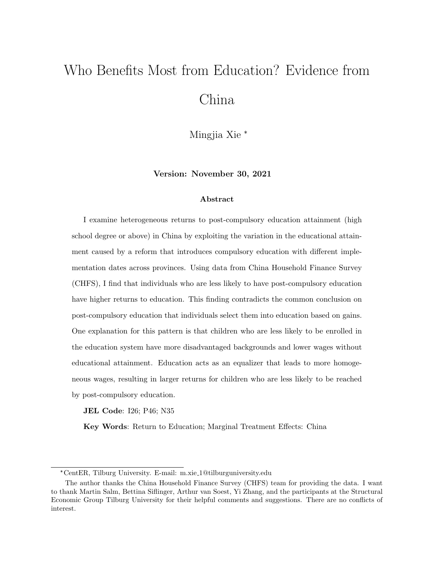# Who Benefits Most from Education? Evidence from China

Mingjia Xie \*

Version: November 30, 2021

#### Abstract

I examine heterogeneous returns to post-compulsory education attainment (high school degree or above) in China by exploiting the variation in the educational attainment caused by a reform that introduces compulsory education with different implementation dates across provinces. Using data from China Household Finance Survey (CHFS), I find that individuals who are less likely to have post-compulsory education have higher returns to education. This finding contradicts the common conclusion on post-compulsory education that individuals select them into education based on gains. One explanation for this pattern is that children who are less likely to be enrolled in the education system have more disadvantaged backgrounds and lower wages without educational attainment. Education acts as an equalizer that leads to more homogeneous wages, resulting in larger returns for children who are less likely to be reached by post-compulsory education.

JEL Code: I26; P46; N35

Key Words: Return to Education; Marginal Treatment Effects: China

<sup>\*</sup>CentER, Tilburg University. E-mail: m.xie 1@tilburguniversity.edu

The author thanks the China Household Finance Survey (CHFS) team for providing the data. I want to thank Martin Salm, Bettina Siflinger, Arthur van Soest, Yi Zhang, and the participants at the Structural Economic Group Tilburg University for their helpful comments and suggestions. There are no conflicts of interest.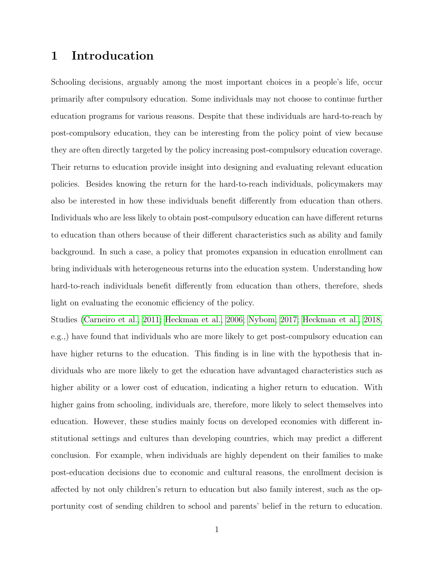## 1 Introducation

Schooling decisions, arguably among the most important choices in a people's life, occur primarily after compulsory education. Some individuals may not choose to continue further education programs for various reasons. Despite that these individuals are hard-to-reach by post-compulsory education, they can be interesting from the policy point of view because they are often directly targeted by the policy increasing post-compulsory education coverage. Their returns to education provide insight into designing and evaluating relevant education policies. Besides knowing the return for the hard-to-reach individuals, policymakers may also be interested in how these individuals benefit differently from education than others. Individuals who are less likely to obtain post-compulsory education can have different returns to education than others because of their different characteristics such as ability and family background. In such a case, a policy that promotes expansion in education enrollment can bring individuals with heterogeneous returns into the education system. Understanding how hard-to-reach individuals benefit differently from education than others, therefore, sheds light on evaluating the economic efficiency of the policy.

Studies [\(Carneiro et al., 2011;](#page-43-0) [Heckman et al., 2006;](#page-44-0) [Nybom, 2017;](#page-45-0) [Heckman et al., 2018,](#page-43-1) e.g.,) have found that individuals who are more likely to get post-compulsory education can have higher returns to the education. This finding is in line with the hypothesis that individuals who are more likely to get the education have advantaged characteristics such as higher ability or a lower cost of education, indicating a higher return to education. With higher gains from schooling, individuals are, therefore, more likely to select themselves into education. However, these studies mainly focus on developed economies with different institutional settings and cultures than developing countries, which may predict a different conclusion. For example, when individuals are highly dependent on their families to make post-education decisions due to economic and cultural reasons, the enrollment decision is affected by not only children's return to education but also family interest, such as the opportunity cost of sending children to school and parents' belief in the return to education.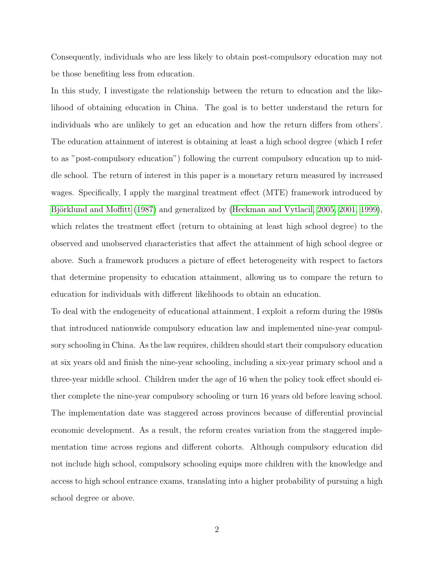Consequently, individuals who are less likely to obtain post-compulsory education may not be those benefiting less from education.

In this study, I investigate the relationship between the return to education and the likelihood of obtaining education in China. The goal is to better understand the return for individuals who are unlikely to get an education and how the return differs from others'. The education attainment of interest is obtaining at least a high school degree (which I refer to as "post-compulsory education") following the current compulsory education up to middle school. The return of interest in this paper is a monetary return measured by increased wages. Specifically, I apply the marginal treatment effect (MTE) framework introduced by Björklund and Moffitt [\(1987\)](#page-43-2) and generalized by [\(Heckman and Vytlacil, 2005,](#page-44-1) [2001,](#page-44-2) [1999\)](#page-44-3), which relates the treatment effect (return to obtaining at least high school degree) to the observed and unobserved characteristics that affect the attainment of high school degree or above. Such a framework produces a picture of effect heterogeneity with respect to factors that determine propensity to education attainment, allowing us to compare the return to education for individuals with different likelihoods to obtain an education.

To deal with the endogeneity of educational attainment, I exploit a reform during the 1980s that introduced nationwide compulsory education law and implemented nine-year compulsory schooling in China. As the law requires, children should start their compulsory education at six years old and finish the nine-year schooling, including a six-year primary school and a three-year middle school. Children under the age of 16 when the policy took effect should either complete the nine-year compulsory schooling or turn 16 years old before leaving school. The implementation date was staggered across provinces because of differential provincial economic development. As a result, the reform creates variation from the staggered implementation time across regions and different cohorts. Although compulsory education did not include high school, compulsory schooling equips more children with the knowledge and access to high school entrance exams, translating into a higher probability of pursuing a high school degree or above.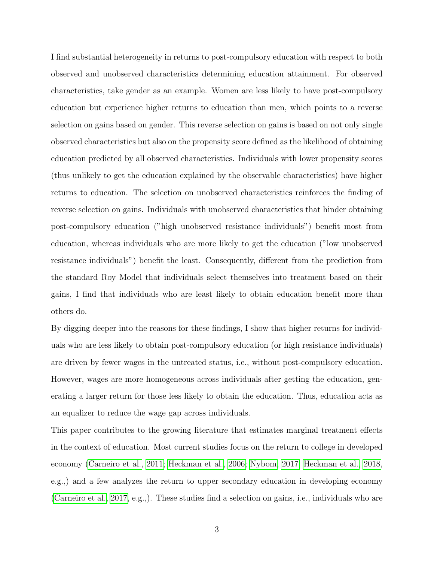I find substantial heterogeneity in returns to post-compulsory education with respect to both observed and unobserved characteristics determining education attainment. For observed characteristics, take gender as an example. Women are less likely to have post-compulsory education but experience higher returns to education than men, which points to a reverse selection on gains based on gender. This reverse selection on gains is based on not only single observed characteristics but also on the propensity score defined as the likelihood of obtaining education predicted by all observed characteristics. Individuals with lower propensity scores (thus unlikely to get the education explained by the observable characteristics) have higher returns to education. The selection on unobserved characteristics reinforces the finding of reverse selection on gains. Individuals with unobserved characteristics that hinder obtaining post-compulsory education ("high unobserved resistance individuals") benefit most from education, whereas individuals who are more likely to get the education ("low unobserved resistance individuals") benefit the least. Consequently, different from the prediction from the standard Roy Model that individuals select themselves into treatment based on their gains, I find that individuals who are least likely to obtain education benefit more than others do.

By digging deeper into the reasons for these findings, I show that higher returns for individuals who are less likely to obtain post-compulsory education (or high resistance individuals) are driven by fewer wages in the untreated status, i.e., without post-compulsory education. However, wages are more homogeneous across individuals after getting the education, generating a larger return for those less likely to obtain the education. Thus, education acts as an equalizer to reduce the wage gap across individuals.

This paper contributes to the growing literature that estimates marginal treatment effects in the context of education. Most current studies focus on the return to college in developed economy [\(Carneiro et al., 2011;](#page-43-0) [Heckman et al., 2006;](#page-44-0) [Nybom, 2017;](#page-45-0) [Heckman et al., 2018,](#page-43-1) e.g.,) and a few analyzes the return to upper secondary education in developing economy [\(Carneiro et al., 2017,](#page-43-3) e.g.,). These studies find a selection on gains, i.e., individuals who are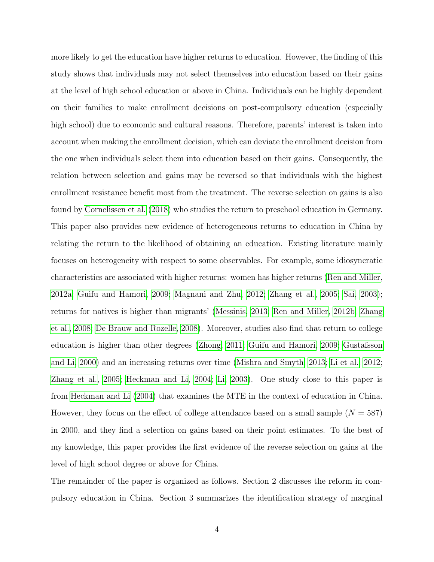more likely to get the education have higher returns to education. However, the finding of this study shows that individuals may not select themselves into education based on their gains at the level of high school education or above in China. Individuals can be highly dependent on their families to make enrollment decisions on post-compulsory education (especially high school) due to economic and cultural reasons. Therefore, parents' interest is taken into account when making the enrollment decision, which can deviate the enrollment decision from the one when individuals select them into education based on their gains. Consequently, the relation between selection and gains may be reversed so that individuals with the highest enrollment resistance benefit most from the treatment. The reverse selection on gains is also found by [Cornelissen et al.](#page-43-4) [\(2018\)](#page-43-4) who studies the return to preschool education in Germany. This paper also provides new evidence of heterogeneous returns to education in China by relating the return to the likelihood of obtaining an education. Existing literature mainly focuses on heterogeneity with respect to some observables. For example, some idiosyncratic characteristics are associated with higher returns: women has higher returns [\(Ren and Miller,](#page-45-1) [2012a;](#page-45-1) [Guifu and Hamori, 2009;](#page-43-5) [Magnani and Zhu, 2012;](#page-45-2) [Zhang et al., 2005;](#page-45-3) [Sai, 2003\)](#page-45-4); returns for natives is higher than migrants' [\(Messinis, 2013;](#page-45-5) [Ren and Miller, 2012b;](#page-45-6) [Zhang](#page-45-7) [et al., 2008;](#page-45-7) [De Brauw and Rozelle, 2008\)](#page-43-6). Moreover, studies also find that return to college education is higher than other degrees [\(Zhong, 2011;](#page-45-8) [Guifu and Hamori, 2009;](#page-43-5) [Gustafsson](#page-43-7) [and Li, 2000\)](#page-43-7) and an increasing returns over time [\(Mishra and Smyth, 2013;](#page-45-9) [Li et al., 2012;](#page-44-4) [Zhang et al., 2005;](#page-45-3) [Heckman and Li, 2004;](#page-44-5) [Li, 2003\)](#page-44-6). One study close to this paper is from [Heckman and Li](#page-44-5) [\(2004\)](#page-44-5) that examines the MTE in the context of education in China. However, they focus on the effect of college attendance based on a small sample  $(N = 587)$ in 2000, and they find a selection on gains based on their point estimates. To the best of my knowledge, this paper provides the first evidence of the reverse selection on gains at the level of high school degree or above for China.

The remainder of the paper is organized as follows. Section 2 discusses the reform in compulsory education in China. Section 3 summarizes the identification strategy of marginal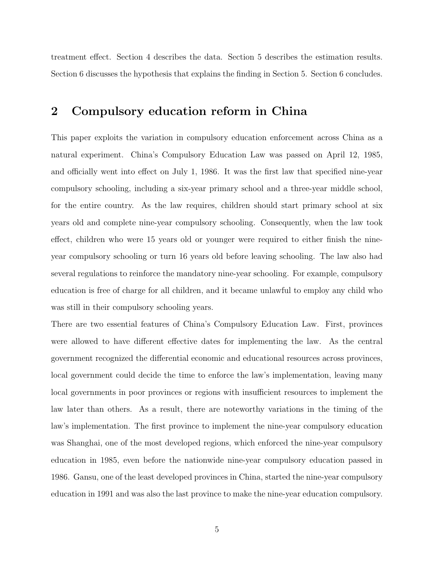treatment effect. Section 4 describes the data. Section 5 describes the estimation results. Section 6 discusses the hypothesis that explains the finding in Section 5. Section 6 concludes.

## 2 Compulsory education reform in China

This paper exploits the variation in compulsory education enforcement across China as a natural experiment. China's Compulsory Education Law was passed on April 12, 1985, and officially went into effect on July 1, 1986. It was the first law that specified nine-year compulsory schooling, including a six-year primary school and a three-year middle school, for the entire country. As the law requires, children should start primary school at six years old and complete nine-year compulsory schooling. Consequently, when the law took effect, children who were 15 years old or younger were required to either finish the nineyear compulsory schooling or turn 16 years old before leaving schooling. The law also had several regulations to reinforce the mandatory nine-year schooling. For example, compulsory education is free of charge for all children, and it became unlawful to employ any child who was still in their compulsory schooling years.

There are two essential features of China's Compulsory Education Law. First, provinces were allowed to have different effective dates for implementing the law. As the central government recognized the differential economic and educational resources across provinces, local government could decide the time to enforce the law's implementation, leaving many local governments in poor provinces or regions with insufficient resources to implement the law later than others. As a result, there are noteworthy variations in the timing of the law's implementation. The first province to implement the nine-year compulsory education was Shanghai, one of the most developed regions, which enforced the nine-year compulsory education in 1985, even before the nationwide nine-year compulsory education passed in 1986. Gansu, one of the least developed provinces in China, started the nine-year compulsory education in 1991 and was also the last province to make the nine-year education compulsory.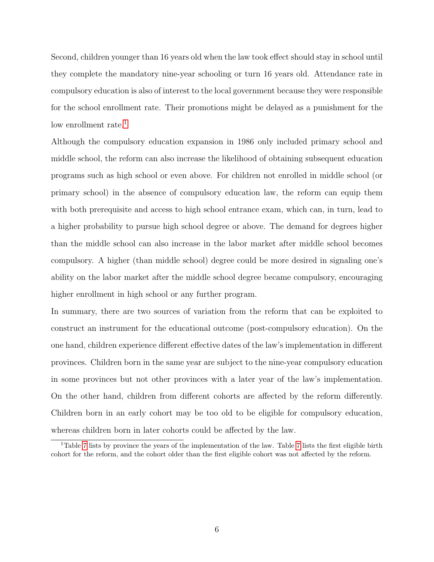Second, children younger than 16 years old when the law took effect should stay in school until they complete the mandatory nine-year schooling or turn 16 years old. Attendance rate in compulsory education is also of interest to the local government because they were responsible for the school enrollment rate. Their promotions might be delayed as a punishment for the low enrollment rate.<sup>[1](#page-6-0)</sup>

Although the compulsory education expansion in 1986 only included primary school and middle school, the reform can also increase the likelihood of obtaining subsequent education programs such as high school or even above. For children not enrolled in middle school (or primary school) in the absence of compulsory education law, the reform can equip them with both prerequisite and access to high school entrance exam, which can, in turn, lead to a higher probability to pursue high school degree or above. The demand for degrees higher than the middle school can also increase in the labor market after middle school becomes compulsory. A higher (than middle school) degree could be more desired in signaling one's ability on the labor market after the middle school degree became compulsory, encouraging higher enrollment in high school or any further program.

In summary, there are two sources of variation from the reform that can be exploited to construct an instrument for the educational outcome (post-compulsory education). On the one hand, children experience different effective dates of the law's implementation in different provinces. Children born in the same year are subject to the nine-year compulsory education in some provinces but not other provinces with a later year of the law's implementation. On the other hand, children from different cohorts are affected by the reform differently. Children born in an early cohort may be too old to be eligible for compulsory education, whereas children born in later cohorts could be affected by the law.

<span id="page-6-0"></span><sup>1</sup>Table [7](#page-37-0) lists by province the years of the implementation of the law. Table [7](#page-37-0) lists the first eligible birth cohort for the reform, and the cohort older than the first eligible cohort was not affected by the reform.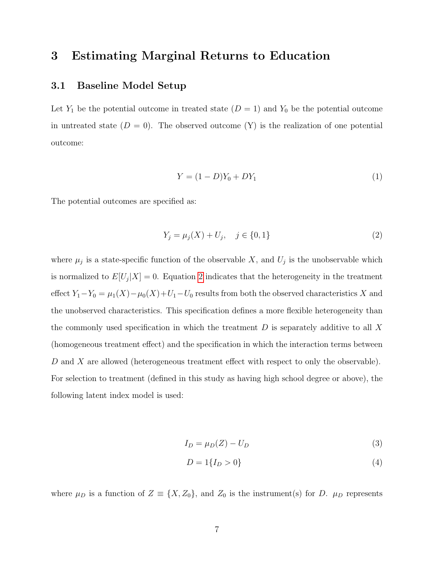## 3 Estimating Marginal Returns to Education

#### 3.1 Baseline Model Setup

Let  $Y_1$  be the potential outcome in treated state  $(D = 1)$  and  $Y_0$  be the potential outcome in untreated state  $(D = 0)$ . The observed outcome  $(Y)$  is the realization of one potential outcome:

$$
Y = (1 - D)Y_0 + DY_1
$$
\n(1)

The potential outcomes are specified as:

<span id="page-7-0"></span>
$$
Y_j = \mu_j(X) + U_j, \quad j \in \{0, 1\}
$$
\n(2)

where  $\mu_j$  is a state-specific function of the observable X, and  $U_j$  is the unobservable which is normalized to  $E[U_j|X] = 0$ . Equation [2](#page-7-0) indicates that the heterogeneity in the treatment effect  $Y_1 - Y_0 = \mu_1(X) - \mu_0(X) + U_1 - U_0$  results from both the observed characteristics X and the unobserved characteristics. This specification defines a more flexible heterogeneity than the commonly used specification in which the treatment  $D$  is separately additive to all  $X$ (homogeneous treatment effect) and the specification in which the interaction terms between D and X are allowed (heterogeneous treatment effect with respect to only the observable). For selection to treatment (defined in this study as having high school degree or above), the following latent index model is used:

$$
I_D = \mu_D(Z) - U_D \tag{3}
$$

<span id="page-7-1"></span>
$$
D = 1\{I_D > 0\} \tag{4}
$$

where  $\mu_D$  is a function of  $Z \equiv \{X, Z_0\}$ , and  $Z_0$  is the instrument(s) for D.  $\mu_D$  represents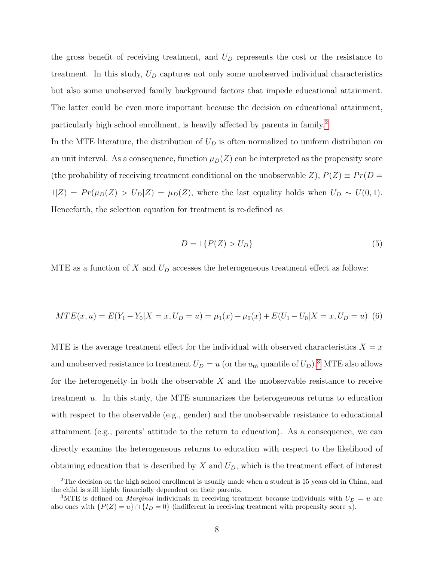the gross benefit of receiving treatment, and  $U_D$  represents the cost or the resistance to treatment. In this study,  $U_D$  captures not only some unobserved individual characteristics but also some unobserved family background factors that impede educational attainment. The latter could be even more important because the decision on educational attainment, particularly high school enrollment, is heavily affected by parents in family.[2](#page-8-0)

In the MTE literature, the distribution of  $U_D$  is often normalized to uniform distribuion on an unit interval. As a consequence, function  $\mu_D(Z)$  can be interpreted as the propensity score (the probability of receiving treatment conditional on the unobservable Z),  $P(Z) \equiv Pr(D =$  $1|Z$ ) =  $Pr(\mu_D(Z) > U_D|Z) = \mu_D(Z)$ , where the last equality holds when  $U_D \sim U(0, 1)$ . Henceforth, the selection equation for treatment is re-defined as

$$
D = 1\{P(Z) > U_D\} \tag{5}
$$

MTE as a function of X and  $U_D$  accesses the heterogeneous treatment effect as follows:

<span id="page-8-2"></span>
$$
MTE(x, u) = E(Y_1 - Y_0 | X = x, U_D = u) = \mu_1(x) - \mu_0(x) + E(U_1 - U_0 | X = x, U_D = u) \tag{6}
$$

MTE is the average treatment effect for the individual with observed characteristics  $X = x$ and unobserved resistance to treatment  $U_D = u$  (or the  $u_{th}$  quantile of  $U_D$ ).<sup>[3](#page-8-1)</sup> MTE also allows for the heterogeneity in both the observable  $X$  and the unobservable resistance to receive treatment u. In this study, the MTE summarizes the heterogeneous returns to education with respect to the observable (e.g., gender) and the unobservable resistance to educational attainment (e.g., parents' attitude to the return to education). As a consequence, we can directly examine the heterogeneous returns to education with respect to the likelihood of obtaining education that is described by  $X$  and  $U_D$ , which is the treatment effect of interest

<span id="page-8-0"></span><sup>&</sup>lt;sup>2</sup>The decision on the high school enrollment is usually made when a student is 15 years old in China, and the child is still highly financially dependent on their parents.

<span id="page-8-1"></span><sup>&</sup>lt;sup>3</sup>MTE is defined on *Marginal* individuals in receiving treatment because individuals with  $U_D = u$  are also ones with  $\{P(Z) = u\} \cap \{I_D = 0\}$  (indifferent in receiving treatment with propensity score u).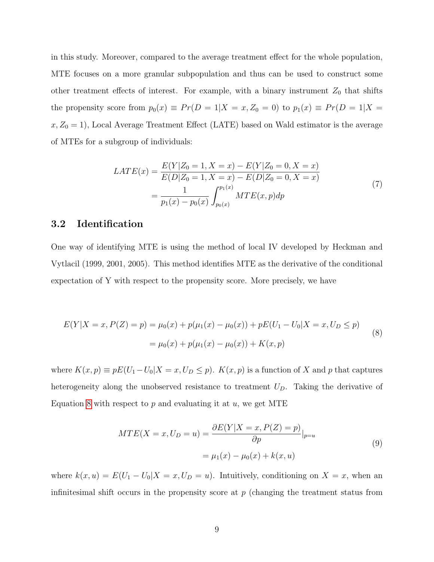in this study. Moreover, compared to the average treatment effect for the whole population, MTE focuses on a more granular subpopulation and thus can be used to construct some other treatment effects of interest. For example, with a binary instrument  $Z_0$  that shifts the propensity score from  $p_0(x) \equiv Pr(D = 1|X = x, Z_0 = 0)$  to  $p_1(x) \equiv Pr(D = 1|X = 0)$  $x, Z_0 = 1$ ), Local Average Treatment Effect (LATE) based on Wald estimator is the average of MTEs for a subgroup of individuals:

$$
LATE(x) = \frac{E(Y|Z_0 = 1, X = x) - E(Y|Z_0 = 0, X = x)}{E(D|Z_0 = 1, X = x) - E(D|Z_0 = 0, X = x)}
$$
  
= 
$$
\frac{1}{p_1(x) - p_0(x)} \int_{p_0(x)}^{p_1(x)} MTE(x, p) dp
$$
 (7)

#### 3.2 Identification

One way of identifying MTE is using the method of local IV developed by Heckman and Vytlacil (1999, 2001, 2005). This method identifies MTE as the derivative of the conditional expectation of Y with respect to the propensity score. More precisely, we have

<span id="page-9-0"></span>
$$
E(Y|X = x, P(Z) = p) = \mu_0(x) + p(\mu_1(x) - \mu_0(x)) + pE(U_1 - U_0|X = x, U_D \le p)
$$
  
=  $\mu_0(x) + p(\mu_1(x) - \mu_0(x)) + K(x, p)$  (8)

where  $K(x, p) \equiv pE(U_1-U_0|X=x, U_D \leq p)$ .  $K(x, p)$  is a function of X and p that captures heterogeneity along the unobserved resistance to treatment  $U_D$ . Taking the derivative of Equation [8](#page-9-0) with respect to  $p$  and evaluating it at  $u$ , we get MTE

<span id="page-9-1"></span>
$$
MTE(X = x, U_D = u) = \frac{\partial E(Y|X = x, P(Z) = p)}{\partial p}|_{p=u}
$$
  
=  $\mu_1(x) - \mu_0(x) + k(x, u)$  (9)

where  $k(x, u) = E(U_1 - U_0 | X = x, U_D = u)$ . Intuitively, conditioning on  $X = x$ , when an infinitesimal shift occurs in the propensity score at  $p$  (changing the treatment status from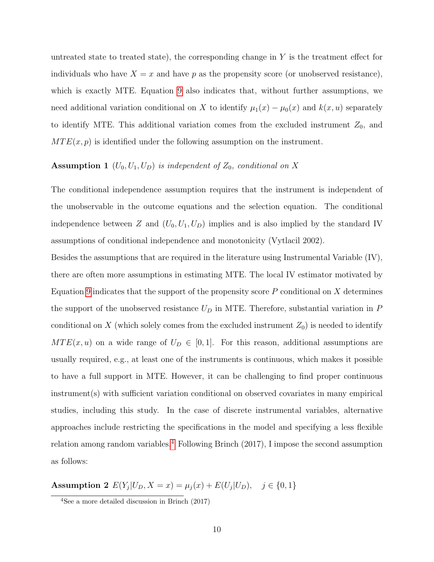untreated state to treated state), the corresponding change in  $Y$  is the treatment effect for individuals who have  $X = x$  and have p as the propensity score (or unobserved resistance), which is exactly MTE. Equation [9](#page-9-1) also indicates that, without further assumptions, we need additional variation conditional on X to identify  $\mu_1(x) - \mu_0(x)$  and  $k(x, u)$  separately to identify MTE. This additional variation comes from the excluded instrument  $Z_0$ , and  $MTE(x, p)$  is identified under the following assumption on the instrument.

## Assumption 1  $(U_0, U_1, U_D)$  is independent of  $Z_0$ , conditional on X

The conditional independence assumption requires that the instrument is independent of the unobservable in the outcome equations and the selection equation. The conditional independence between Z and  $(U_0, U_1, U_D)$  implies and is also implied by the standard IV assumptions of conditional independence and monotonicity (Vytlacil 2002).

Besides the assumptions that are required in the literature using Instrumental Variable (IV), there are often more assumptions in estimating MTE. The local IV estimator motivated by Equation [9](#page-9-1) indicates that the support of the propensity score  $P$  conditional on  $X$  determines the support of the unobserved resistance  $U_D$  in MTE. Therefore, substantial variation in  $P$ conditional on X (which solely comes from the excluded instrument  $Z_0$ ) is needed to identify  $MTE(x, u)$  on a wide range of  $U_D \in [0, 1]$ . For this reason, additional assumptions are usually required, e.g., at least one of the instruments is continuous, which makes it possible to have a full support in MTE. However, it can be challenging to find proper continuous instrument(s) with sufficient variation conditional on observed covariates in many empirical studies, including this study. In the case of discrete instrumental variables, alternative approaches include restricting the specifications in the model and specifying a less flexible relation among random variables.[4](#page-10-0) Following Brinch (2017), I impose the second assumption as follows:

Assumption 2  $E(Y_j | U_D, X = x) = \mu_j(x) + E(U_j | U_D), \quad j \in \{0, 1\}$ 

<span id="page-10-0"></span><sup>4</sup>See a more detailed discussion in Brinch (2017)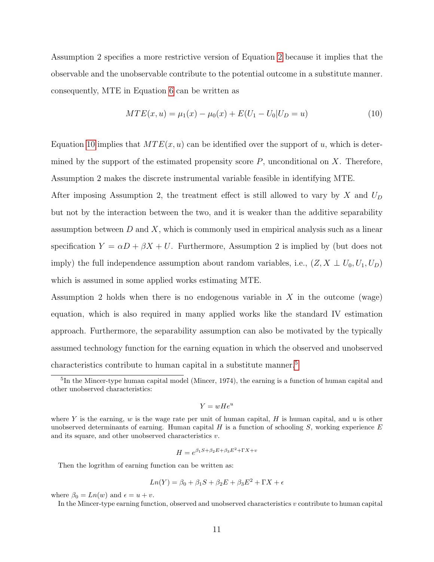Assumption 2 specifies a more restrictive version of Equation [2](#page-7-0) because it implies that the observable and the unobservable contribute to the potential outcome in a substitute manner. consequently, MTE in Equation [6](#page-8-2) can be written as

<span id="page-11-0"></span>
$$
MTE(x, u) = \mu_1(x) - \mu_0(x) + E(U_1 - U_0 | U_D = u)
$$
\n(10)

Equation [10](#page-11-0) implies that  $MTE(x, u)$  can be identified over the support of u, which is determined by the support of the estimated propensity score  $P$ , unconditional on  $X$ . Therefore, Assumption 2 makes the discrete instrumental variable feasible in identifying MTE.

After imposing Assumption 2, the treatment effect is still allowed to vary by X and  $U_D$ but not by the interaction between the two, and it is weaker than the additive separability assumption between  $D$  and  $X$ , which is commonly used in empirical analysis such as a linear specification  $Y = \alpha D + \beta X + U$ . Furthermore, Assumption 2 is implied by (but does not imply) the full independence assumption about random variables, i.e.,  $(Z, X \perp U_0, U_1, U_D)$ which is assumed in some applied works estimating MTE.

Assumption 2 holds when there is no endogenous variable in  $X$  in the outcome (wage) equation, which is also required in many applied works like the standard IV estimation approach. Furthermore, the separability assumption can also be motivated by the typically assumed technology function for the earning equation in which the observed and unobserved characteristics contribute to human capital in a substitute manner.<sup>[5](#page-11-1)</sup>

$$
Y = wHe^u
$$

$$
H = e^{\beta_1 S + \beta_2 E + \beta_3 E^2 + \Gamma X + v}
$$

Then the logrithm of earning function can be written as:

$$
Ln(Y) = \beta_0 + \beta_1 S + \beta_2 E + \beta_3 E^2 + \Gamma X + \epsilon
$$

where  $\beta_0 = Ln(w)$  and  $\epsilon = u + v$ .

<span id="page-11-1"></span><sup>&</sup>lt;sup>5</sup>In the Mincer-type human capital model (Mincer, 1974), the earning is a function of human capital and other unobserved characteristics:

where Y is the earning, w is the wage rate per unit of human capital, H is human capital, and u is other unobserved determinants of earning. Human capital  $H$  is a function of schooling  $S$ , working experience  $E$ and its square, and other unobserved characteristics v.

In the Mincer-type earning function, observed and unobserved characteristics  $v$  contribute to human capital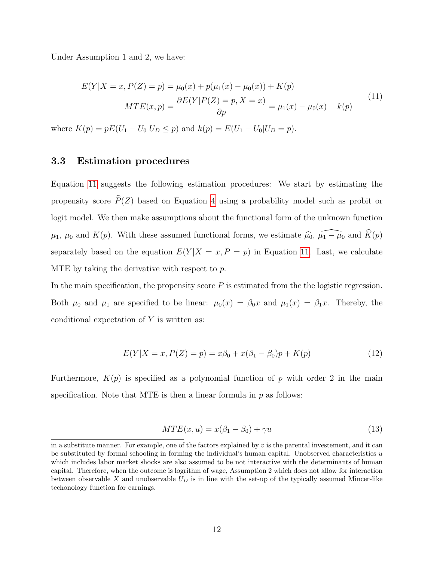Under Assumption 1 and 2, we have:

<span id="page-12-0"></span>
$$
E(Y|X = x, P(Z) = p) = \mu_0(x) + p(\mu_1(x) - \mu_0(x)) + K(p)
$$
  

$$
MTE(x, p) = \frac{\partial E(Y|P(Z) = p, X = x)}{\partial p} = \mu_1(x) - \mu_0(x) + k(p)
$$
(11)

where  $K(p) = pE(U_1 - U_0|U_D \le p)$  and  $k(p) = E(U_1 - U_0|U_D = p)$ .

#### 3.3 Estimation procedures

Equation [11](#page-12-0) suggests the following estimation procedures: We start by estimating the propensity score  $\widehat{P}(Z)$  based on Equation [4](#page-7-1) using a probability model such as probit or logit model. We then make assumptions about the functional form of the unknown function  $\mu_1$ ,  $\mu_0$  and  $K(p)$ . With these assumed functional forms, we estimate  $\widehat{\mu}_0$ ,  $\widehat{\mu_1 - \mu_0}$  and  $\widehat{K}(p)$ separately based on the equation  $E(Y|X=x, P=p)$  in Equation [11.](#page-12-0) Last, we calculate MTE by taking the derivative with respect to  $p$ .

In the main specification, the propensity score  $P$  is estimated from the the logistic regression. Both  $\mu_0$  and  $\mu_1$  are specified to be linear:  $\mu_0(x) = \beta_0 x$  and  $\mu_1(x) = \beta_1 x$ . Thereby, the conditional expectation of  $Y$  is written as:

$$
E(Y|X = x, P(Z) = p) = x\beta_0 + x(\beta_1 - \beta_0)p + K(p)
$$
\n(12)

Furthermore,  $K(p)$  is specified as a polynomial function of p with order 2 in the main specification. Note that MTE is then a linear formula in  $p$  as follows:

$$
MTE(x, u) = x(\beta_1 - \beta_0) + \gamma u \tag{13}
$$

in a substitute manner. For example, one of the factors explained by  $v$  is the parental investement, and it can be substituted by formal schooling in forming the individual's human capital. Unobserved characteristics u which includes labor market shocks are also assumed to be not interactive with the determinants of human capital. Therefore, when the outcome is logrithm of wage, Assumption 2 which does not allow for interaction between observable  $X$  and unobservable  $U_D$  is in line with the set-up of the typically assumed Mincer-like techonology function for earnings.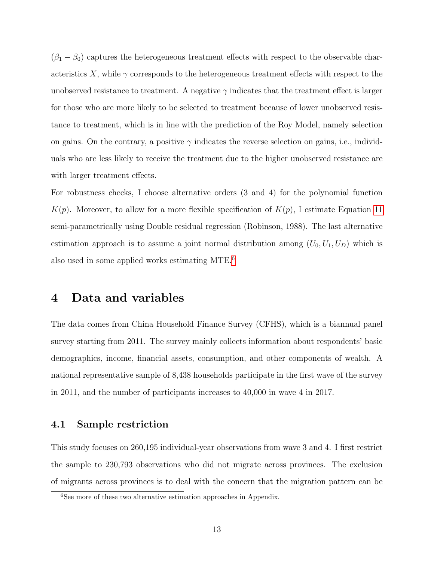$(\beta_1 - \beta_0)$  captures the heterogeneous treatment effects with respect to the observable characteristics X, while  $\gamma$  corresponds to the heterogeneous treatment effects with respect to the unobserved resistance to treatment. A negative  $\gamma$  indicates that the treatment effect is larger for those who are more likely to be selected to treatment because of lower unobserved resistance to treatment, which is in line with the prediction of the Roy Model, namely selection on gains. On the contrary, a positive  $\gamma$  indicates the reverse selection on gains, i.e., individuals who are less likely to receive the treatment due to the higher unobserved resistance are with larger treatment effects.

For robustness checks, I choose alternative orders (3 and 4) for the polynomial function  $K(p)$ . Moreover, to allow for a more flexible specification of  $K(p)$ , I estimate Equation [11](#page-12-0) semi-parametrically using Double residual regression (Robinson, 1988). The last alternative estimation approach is to assume a joint normal distribution among  $(U_0, U_1, U_D)$  which is also used in some applied works estimating MTE.[6](#page-13-0)

### 4 Data and variables

The data comes from China Household Finance Survey (CFHS), which is a biannual panel survey starting from 2011. The survey mainly collects information about respondents' basic demographics, income, financial assets, consumption, and other components of wealth. A national representative sample of 8,438 households participate in the first wave of the survey in 2011, and the number of participants increases to 40,000 in wave 4 in 2017.

#### 4.1 Sample restriction

This study focuses on 260,195 individual-year observations from wave 3 and 4. I first restrict the sample to 230,793 observations who did not migrate across provinces. The exclusion of migrants across provinces is to deal with the concern that the migration pattern can be

<span id="page-13-0"></span><sup>&</sup>lt;sup>6</sup>See more of these two alternative estimation approaches in Appendix.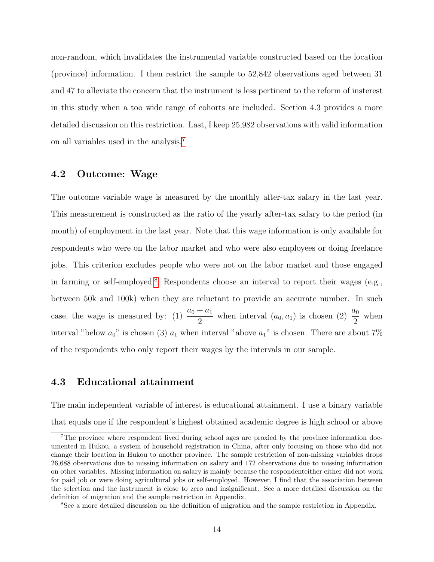non-random, which invalidates the instrumental variable constructed based on the location (province) information. I then restrict the sample to 52,842 observations aged between 31 and 47 to alleviate the concern that the instrument is less pertinent to the reform of insterest in this study when a too wide range of cohorts are included. Section 4.3 provides a more detailed discussion on this restriction. Last, I keep 25,982 observations with valid information on all variables used in the analysis.[7](#page-14-0)

#### 4.2 Outcome: Wage

The outcome variable wage is measured by the monthly after-tax salary in the last year. This measurement is constructed as the ratio of the yearly after-tax salary to the period (in month) of employment in the last year. Note that this wage information is only available for respondents who were on the labor market and who were also employees or doing freelance jobs. This criterion excludes people who were not on the labor market and those engaged in farming or self-employed.<sup>[8](#page-14-1)</sup> Respondents choose an interval to report their wages (e.g., between 50k and 100k) when they are reluctant to provide an accurate number. In such case, the wage is measured by: (1)  $\frac{a_0 + a_1}{2}$  $\frac{+a_1}{2}$  when interval  $(a_0, a_1)$  is chosen (2)  $\frac{a_0}{2}$ when interval "below  $a_0$ " is chosen (3)  $a_1$  when interval "above  $a_1$ " is chosen. There are about 7% of the respondents who only report their wages by the intervals in our sample.

#### 4.3 Educational attainment

The main independent variable of interest is educational attainment. I use a binary variable that equals one if the respondent's highest obtained academic degree is high school or above

<span id="page-14-0"></span><sup>&</sup>lt;sup>7</sup>The province where respondent lived during school ages are proxied by the province information documented in Hukou, a system of household registration in China, after only focusing on those who did not change their location in Hukou to another province. The sample restriction of non-missing variables drops 26,688 observations due to missing information on salary and 172 observations due to missing information on other variables. Missing information on salary is mainly because the respondenteither either did not work for paid job or were doing agricultural jobs or self-employed. However, I find that the association between the selection and the instrument is close to zero and insignificant. See a more detailed discussion on the definition of migration and the sample restriction in Appendix.

<span id="page-14-1"></span><sup>8</sup>See a more detailed discussion on the definition of migration and the sample restriction in Appendix.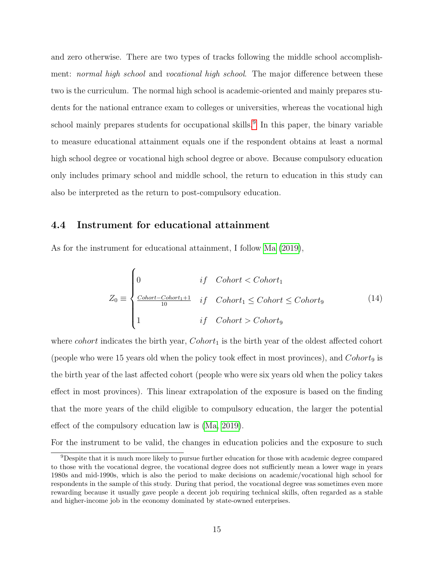and zero otherwise. There are two types of tracks following the middle school accomplishment: *normal high school* and *vocational high school*. The major difference between these two is the curriculum. The normal high school is academic-oriented and mainly prepares students for the national entrance exam to colleges or universities, whereas the vocational high school mainly prepares students for occupational skills.<sup>[9](#page-15-0)</sup> In this paper, the binary variable to measure educational attainment equals one if the respondent obtains at least a normal high school degree or vocational high school degree or above. Because compulsory education only includes primary school and middle school, the return to education in this study can also be interpreted as the return to post-compulsory education.

#### 4.4 Instrument for educational attainment

As for the instrument for educational attainment, I follow [Ma](#page-44-7) [\(2019\)](#page-44-7),

<span id="page-15-1"></span>
$$
Z_0 \equiv \begin{cases} 0 & if \quad Cohort < Cohort_1 \\ \frac{Cohort - Cohort_{1} + 1}{10} & if \quad Cohort_1 \le Cohort \le Cohort_9 \\ 1 & if \quad Cohort > Cohort_9 \end{cases} \tag{14}
$$

where *cohort* indicates the birth year,  $Cohort_1$  is the birth year of the oldest affected cohort (people who were 15 years old when the policy took effect in most provinces), and  $Cohort_9$  is the birth year of the last affected cohort (people who were six years old when the policy takes effect in most provinces). This linear extrapolation of the exposure is based on the finding that the more years of the child eligible to compulsory education, the larger the potential effect of the compulsory education law is [\(Ma, 2019\)](#page-44-7).

For the instrument to be valid, the changes in education policies and the exposure to such

<span id="page-15-0"></span><sup>9</sup>Despite that it is much more likely to pursue further education for those with academic degree compared to those with the vocational degree, the vocational degree does not sufficiently mean a lower wage in years 1980s and mid-1990s, which is also the period to make decisions on academic/vocational high school for respondents in the sample of this study. During that period, the vocational degree was sometimes even more rewarding because it usually gave people a decent job requiring technical skills, often regarded as a stable and higher-income job in the economy dominated by state-owned enterprises.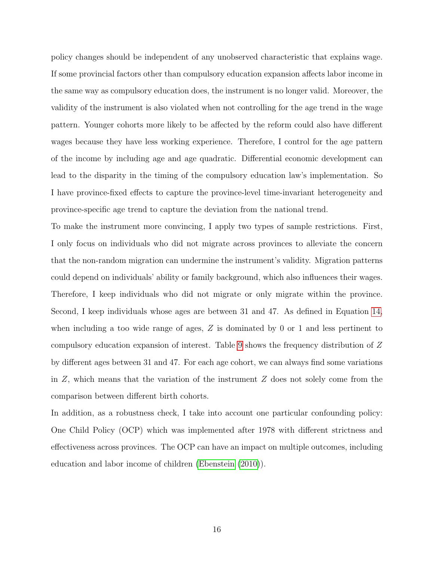policy changes should be independent of any unobserved characteristic that explains wage. If some provincial factors other than compulsory education expansion affects labor income in the same way as compulsory education does, the instrument is no longer valid. Moreover, the validity of the instrument is also violated when not controlling for the age trend in the wage pattern. Younger cohorts more likely to be affected by the reform could also have different wages because they have less working experience. Therefore, I control for the age pattern of the income by including age and age quadratic. Differential economic development can lead to the disparity in the timing of the compulsory education law's implementation. So I have province-fixed effects to capture the province-level time-invariant heterogeneity and province-specific age trend to capture the deviation from the national trend.

To make the instrument more convincing, I apply two types of sample restrictions. First, I only focus on individuals who did not migrate across provinces to alleviate the concern that the non-random migration can undermine the instrument's validity. Migration patterns could depend on individuals' ability or family background, which also influences their wages. Therefore, I keep individuals who did not migrate or only migrate within the province. Second, I keep individuals whose ages are between 31 and 47. As defined in Equation [14,](#page-15-1) when including a too wide range of ages, Z is dominated by 0 or 1 and less pertinent to compulsory education expansion of interest. Table [9](#page-40-0) shows the frequency distribution of Z by different ages between 31 and 47. For each age cohort, we can always find some variations in  $Z$ , which means that the variation of the instrument  $Z$  does not solely come from the comparison between different birth cohorts.

In addition, as a robustness check, I take into account one particular confounding policy: One Child Policy (OCP) which was implemented after 1978 with different strictness and effectiveness across provinces. The OCP can have an impact on multiple outcomes, including education and labor income of children [\(Ebenstein](#page-43-8) [\(2010\)](#page-43-8)).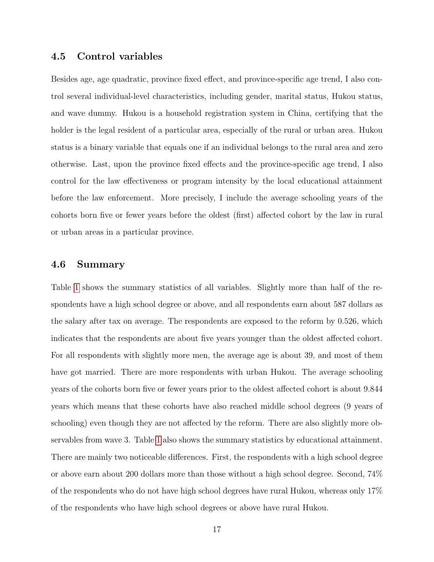#### 4.5 Control variables

Besides age, age quadratic, province fixed effect, and province-specific age trend, I also control several individual-level characteristics, including gender, marital status, Hukou status, and wave dummy. Hukou is a household registration system in China, certifying that the holder is the legal resident of a particular area, especially of the rural or urban area. Hukou status is a binary variable that equals one if an individual belongs to the rural area and zero otherwise. Last, upon the province fixed effects and the province-specific age trend, I also control for the law effectiveness or program intensity by the local educational attainment before the law enforcement. More precisely, I include the average schooling years of the cohorts born five or fewer years before the oldest (first) affected cohort by the law in rural or urban areas in a particular province.

#### 4.6 Summary

Table [1](#page-18-0) shows the summary statistics of all variables. Slightly more than half of the respondents have a high school degree or above, and all respondents earn about 587 dollars as the salary after tax on average. The respondents are exposed to the reform by 0.526, which indicates that the respondents are about five years younger than the oldest affected cohort. For all respondents with slightly more men, the average age is about 39, and most of them have got married. There are more respondents with urban Hukou. The average schooling years of the cohorts born five or fewer years prior to the oldest affected cohort is about 9.844 years which means that these cohorts have also reached middle school degrees (9 years of schooling) even though they are not affected by the reform. There are also slightly more observables from wave 3. Table [1](#page-18-0) also shows the summary statistics by educational attainment. There are mainly two noticeable differences. First, the respondents with a high school degree or above earn about 200 dollars more than those without a high school degree. Second, 74% of the respondents who do not have high school degrees have rural Hukou, whereas only 17% of the respondents who have high school degrees or above have rural Hukou.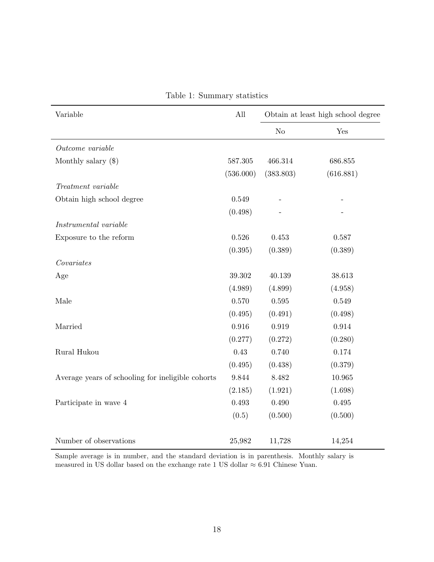<span id="page-18-0"></span>

| Variable                                          | All         |                | Obtain at least high school degree |  |  |  |
|---------------------------------------------------|-------------|----------------|------------------------------------|--|--|--|
|                                                   |             | N <sub>o</sub> | Yes                                |  |  |  |
| Outcome variable                                  |             |                |                                    |  |  |  |
| Monthly salary $(\$)$                             | 587.305     | 466.314        | 686.855                            |  |  |  |
|                                                   | (536.000)   | (383.803)      | (616.881)                          |  |  |  |
| Treatment variable                                |             |                |                                    |  |  |  |
| Obtain high school degree                         | 0.549       |                |                                    |  |  |  |
|                                                   | (0.498)     |                |                                    |  |  |  |
| Instrumental variable                             |             |                |                                    |  |  |  |
| Exposure to the reform                            | 0.526       | 0.453          | 0.587                              |  |  |  |
|                                                   | (0.395)     | (0.389)        | (0.389)                            |  |  |  |
| Covariates                                        |             |                |                                    |  |  |  |
| Age                                               | 39.302      | 40.139         | 38.613                             |  |  |  |
|                                                   | (4.989)     | (4.899)        | (4.958)                            |  |  |  |
| Male                                              | 0.570       | $0.595\,$      | 0.549                              |  |  |  |
|                                                   | (0.495)     | (0.491)        | (0.498)                            |  |  |  |
| Married                                           | 0.916       | $\,0.919\,$    | $\,0.914\,$                        |  |  |  |
|                                                   | (0.277)     | (0.272)        | (0.280)                            |  |  |  |
| Rural Hukou                                       | 0.43        | 0.740          | 0.174                              |  |  |  |
|                                                   | (0.495)     | (0.438)        | (0.379)                            |  |  |  |
| Average years of schooling for ineligible cohorts | 9.844       | 8.482          | 10.965                             |  |  |  |
|                                                   | (2.185)     | (1.921)        | (1.698)                            |  |  |  |
| Participate in wave 4                             | $\,0.493\,$ | 0.490          | 0.495                              |  |  |  |
|                                                   | (0.5)       | (0.500)        | (0.500)                            |  |  |  |
| Number of observations                            | 25,982      | 11,728         | 14,254                             |  |  |  |

Table 1: Summary statistics

Sample average is in number, and the standard deviation is in parenthesis. Monthly salary is measured in US dollar based on the exchange rate 1 US dollar  $\approx 6.91$  Chinese Yuan.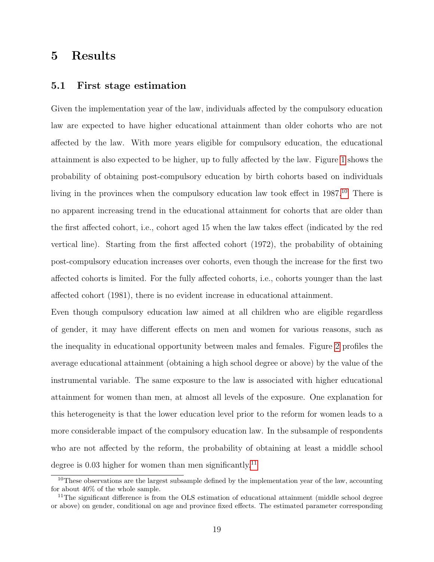## 5 Results

#### 5.1 First stage estimation

Given the implementation year of the law, individuals affected by the compulsory education law are expected to have higher educational attainment than older cohorts who are not affected by the law. With more years eligible for compulsory education, the educational attainment is also expected to be higher, up to fully affected by the law. Figure [1](#page-20-0) shows the probability of obtaining post-compulsory education by birth cohorts based on individuals living in the provinces when the compulsory education law took effect in 1987.<sup>[10](#page-19-0)</sup> There is no apparent increasing trend in the educational attainment for cohorts that are older than the first affected cohort, i.e., cohort aged 15 when the law takes effect (indicated by the red vertical line). Starting from the first affected cohort (1972), the probability of obtaining post-compulsory education increases over cohorts, even though the increase for the first two affected cohorts is limited. For the fully affected cohorts, i.e., cohorts younger than the last affected cohort (1981), there is no evident increase in educational attainment.

Even though compulsory education law aimed at all children who are eligible regardless of gender, it may have different effects on men and women for various reasons, such as the inequality in educational opportunity between males and females. Figure [2](#page-22-0) profiles the average educational attainment (obtaining a high school degree or above) by the value of the instrumental variable. The same exposure to the law is associated with higher educational attainment for women than men, at almost all levels of the exposure. One explanation for this heterogeneity is that the lower education level prior to the reform for women leads to a more considerable impact of the compulsory education law. In the subsample of respondents who are not affected by the reform, the probability of obtaining at least a middle school degree is 0.03 higher for women than men significantly.<sup>[11](#page-19-1)</sup>

<span id="page-19-0"></span><sup>&</sup>lt;sup>10</sup>These observations are the largest subsample defined by the implementation year of the law, accounting for about 40% of the whole sample.

<span id="page-19-1"></span> $11$ The significant difference is from the OLS estimation of educational attainment (middle school degree or above) on gender, conditional on age and province fixed effects. The estimated parameter corresponding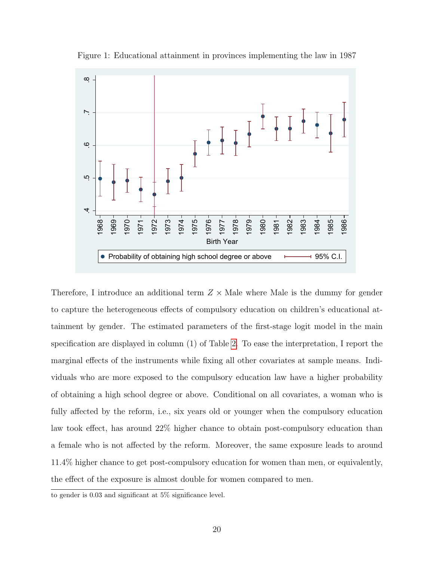<span id="page-20-0"></span>

Figure 1: Educational attainment in provinces implementing the law in 1987

Therefore, I introduce an additional term  $Z \times$  Male where Male is the dummy for gender to capture the heterogeneous effects of compulsory education on children's educational attainment by gender. The estimated parameters of the first-stage logit model in the main specification are displayed in column (1) of Table [2.](#page-21-0) To ease the interpretation, I report the marginal effects of the instruments while fixing all other covariates at sample means. Individuals who are more exposed to the compulsory education law have a higher probability of obtaining a high school degree or above. Conditional on all covariates, a woman who is fully affected by the reform, i.e., six years old or younger when the compulsory education law took effect, has around 22% higher chance to obtain post-compulsory education than a female who is not affected by the reform. Moreover, the same exposure leads to around 11.4% higher chance to get post-compulsory education for women than men, or equivalently, the effect of the exposure is almost double for women compared to men.

to gender is 0.03 and significant at 5% significance level.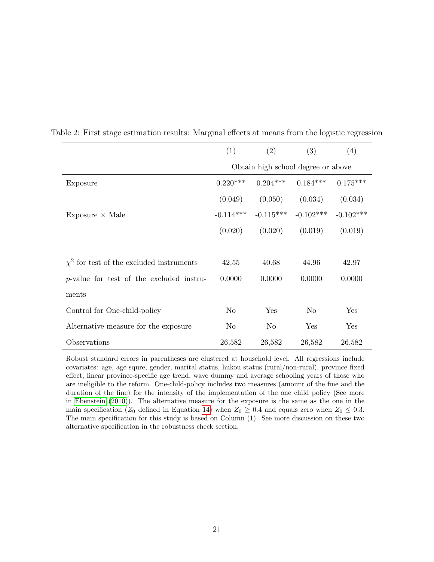|                                               | (1)                                                  | (2)         | (3)         | (4)         |  |  |  |  |
|-----------------------------------------------|------------------------------------------------------|-------------|-------------|-------------|--|--|--|--|
|                                               | Obtain high school degree or above                   |             |             |             |  |  |  |  |
| Exposure                                      | $0.204***$<br>$0.220***$<br>$0.184***$<br>$0.175***$ |             |             |             |  |  |  |  |
|                                               | (0.049)                                              | (0.050)     | (0.034)     | (0.034)     |  |  |  |  |
| Exposure $\times$ Male                        | $-0.114***$                                          | $-0.115***$ | $-0.102***$ | $-0.102***$ |  |  |  |  |
|                                               | (0.020)                                              | (0.020)     | (0.019)     | (0.019)     |  |  |  |  |
|                                               |                                                      |             |             |             |  |  |  |  |
| $\chi^2$ for test of the excluded instruments | 42.55                                                | 40.68       | 44.96       | 42.97       |  |  |  |  |
| $p$ -value for test of the excluded instru-   | 0.0000                                               | 0.0000      | 0.0000      | 0.0000      |  |  |  |  |
| ments                                         |                                                      |             |             |             |  |  |  |  |
| Control for One-child-policy                  | N <sub>o</sub>                                       | Yes         | No          | Yes         |  |  |  |  |
| Alternative measure for the exposure.         | N <sub>o</sub>                                       | No          | Yes         | Yes         |  |  |  |  |
| Observations                                  | 26,582                                               | 26,582      | 26,582      | 26,582      |  |  |  |  |

<span id="page-21-0"></span>Table 2: First stage estimation results: Marginal effects at means from the logistic regression

Robust standard errors in parentheses are clustered at household level. All regressions include covariates: age, age squre, gender, marital status, hukou status (rural/non-rural), province fixed effect, linear province-specific age trend, wave dummy and average schooling years of those who are ineligible to the reform. One-child-policy includes two measures (amount of the fine and the duration of the fine) for the intensity of the implementation of the one child policy (See more in [Ebenstein \(2010\)](#page-43-8)). The alternative measure for the exposure is the same as the one in the main specification ( $Z_0$  defined in Equation [14\)](#page-15-1) when  $Z_0 \geq 0.4$  and equals zero when  $Z_0 \leq 0.3$ . The main specification for this study is based on Column (1). See more discussion on these two alternative specification in the robustness check section.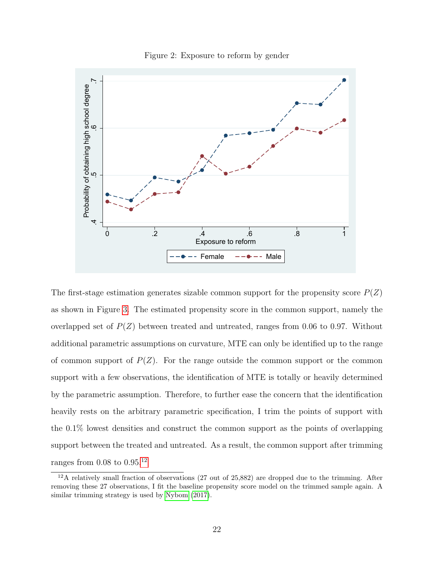<span id="page-22-0"></span>

Figure 2: Exposure to reform by gender

The first-stage estimation generates sizable common support for the propensity score  $P(Z)$ as shown in Figure [3.](#page-23-0) The estimated propensity score in the common support, namely the overlapped set of  $P(Z)$  between treated and untreated, ranges from 0.06 to 0.97. Without additional parametric assumptions on curvature, MTE can only be identified up to the range of common support of  $P(Z)$ . For the range outside the common support or the common support with a few observations, the identification of MTE is totally or heavily determined by the parametric assumption. Therefore, to further ease the concern that the identification heavily rests on the arbitrary parametric specification, I trim the points of support with the 0.1% lowest densities and construct the common support as the points of overlapping support between the treated and untreated. As a result, the common support after trimming ranges from  $0.08$  to  $0.95$ <sup>[12](#page-22-1)</sup>

<span id="page-22-1"></span> $12A$  relatively small fraction of observations (27 out of 25,882) are dropped due to the trimming. After removing these 27 observations, I fit the baseline propensity score model on the trimmed sample again. A similar trimming strategy is used by [Nybom \(2017\)](#page-45-0).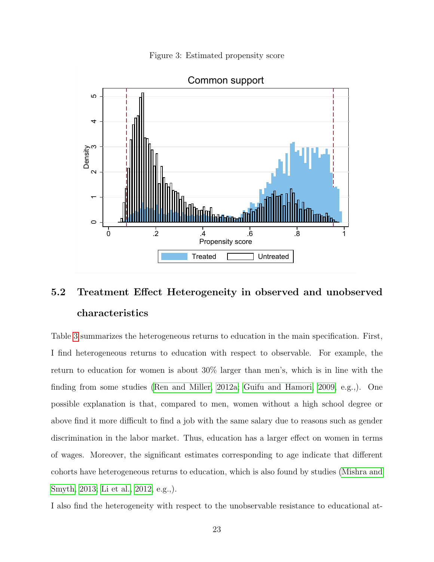Figure 3: Estimated propensity score

<span id="page-23-0"></span>

## 5.2 Treatment Effect Heterogeneity in observed and unobserved characteristics

Table [3](#page-26-0) summarizes the heterogeneous returns to education in the main specification. First, I find heterogeneous returns to education with respect to observable. For example, the return to education for women is about 30% larger than men's, which is in line with the finding from some studies [\(Ren and Miller, 2012a;](#page-45-1) [Guifu and Hamori, 2009,](#page-43-5) e.g.,). One possible explanation is that, compared to men, women without a high school degree or above find it more difficult to find a job with the same salary due to reasons such as gender discrimination in the labor market. Thus, education has a larger effect on women in terms of wages. Moreover, the significant estimates corresponding to age indicate that different cohorts have heterogeneous returns to education, which is also found by studies [\(Mishra and](#page-45-9) [Smyth, 2013;](#page-45-9) [Li et al., 2012,](#page-44-4) e.g.,).

I also find the heterogeneity with respect to the unobservable resistance to educational at-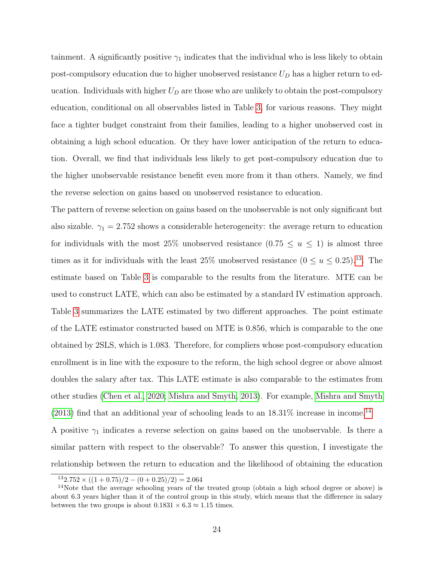tainment. A significantly positive  $\gamma_1$  indicates that the individual who is less likely to obtain post-compulsory education due to higher unobserved resistance  $U_D$  has a higher return to education. Individuals with higher  $U_D$  are those who are unlikely to obtain the post-compulsory education, conditional on all observables listed in Table [3,](#page-26-0) for various reasons. They might face a tighter budget constraint from their families, leading to a higher unobserved cost in obtaining a high school education. Or they have lower anticipation of the return to education. Overall, we find that individuals less likely to get post-compulsory education due to the higher unobservable resistance benefit even more from it than others. Namely, we find the reverse selection on gains based on unobserved resistance to education.

The pattern of reverse selection on gains based on the unobservable is not only significant but also sizable.  $\gamma_1 = 2.752$  shows a considerable heterogeneity: the average return to education for individuals with the most 25% unobserved resistance  $(0.75 \le u \le 1)$  is almost three times as it for individuals with the least 25% unobserved resistance  $(0 \le u \le 0.25)^{13}$  $(0 \le u \le 0.25)^{13}$  $(0 \le u \le 0.25)^{13}$ . The estimate based on Table [3](#page-26-0) is comparable to the results from the literature. MTE can be used to construct LATE, which can also be estimated by a standard IV estimation approach. Table [3](#page-26-0) summarizes the LATE estimated by two different approaches. The point estimate of the LATE estimator constructed based on MTE is 0.856, which is comparable to the one obtained by 2SLS, which is 1.083. Therefore, for compliers whose post-compulsory education enrollment is in line with the exposure to the reform, the high school degree or above almost doubles the salary after tax. This LATE estimate is also comparable to the estimates from other studies [\(Chen et al., 2020;](#page-43-9) [Mishra and Smyth, 2013\)](#page-45-9). For example, [Mishra and Smyth](#page-45-9)  $(2013)$  find that an additional year of schooling leads to an  $18.31\%$  increase in income.<sup>[14](#page-24-1)</sup>

A positive  $\gamma_1$  indicates a reverse selection on gains based on the unobservable. Is there a similar pattern with respect to the observable? To answer this question, I investigate the relationship between the return to education and the likelihood of obtaining the education

<span id="page-24-1"></span><span id="page-24-0"></span> $132.752 \times ((1 + 0.75)/2 - (0 + 0.25)/2) = 2.064$ 

<sup>&</sup>lt;sup>14</sup>Note that the average schooling years of the treated group (obtain a high school degree or above) is about 6.3 years higher than it of the control group in this study, which means that the difference in salary between the two groups is about  $0.1831 \times 6.3 \approx 1.15$  times.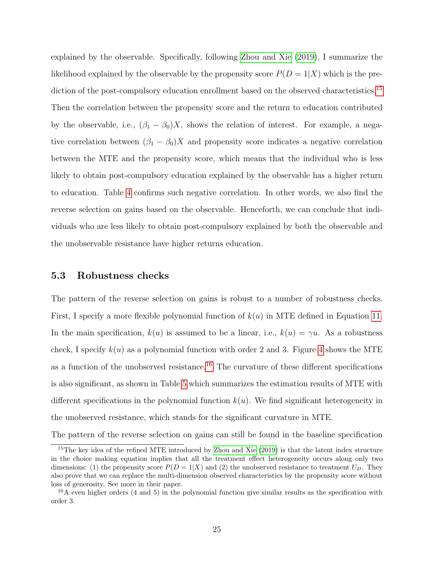explained by the observable. Specifically, following [Zhou and Xie](#page-46-0) [\(2019\)](#page-46-0), I summarize the likelihood explained by the observable by the propensity score  $P(D = 1|X)$  which is the pre-diction of the post-compulsory education enrollment based on the observed characteristics.<sup>[15](#page-25-0)</sup> Then the correlation between the propensity score and the return to education contributed by the observable, i.e.,  $(\beta_1 - \beta_0)X$ , shows the relation of interest. For example, a negative correlation between  $(\beta_1 - \beta_0)X$  and propensity score indicates a negative correlation between the MTE and the propensity score, which means that the individual who is less likely to obtain post-compulsory education explained by the observable has a higher return to education. Table [4](#page-27-0) confirms such negative correlation. In other words, we also find the reverse selection on gains based on the observable. Henceforth, we can conclude that individuals who are less likely to obtain post-compulsory explained by both the observable and the unobservable resistance have higher returns education.

#### 5.3 Robustness checks

The pattern of the reverse selection on gains is robust to a number of robustness checks. First, I specify a more flexible polynomial function of  $k(u)$  in MTE defined in Equation [11.](#page-12-0) In the main specification,  $k(u)$  is assumed to be a linear, i.e.,  $k(u) = \gamma u$ . As a robustness check, I specify  $k(u)$  as a polynomial function with order 2 and 3. Figure [4](#page-27-1) shows the MTE as a function of the unobserved resistance.<sup>[16](#page-25-1)</sup> The curvature of these different specifications is also significant, as shown in Table [5](#page-30-0) which summarizes the estimation results of MTE with different specifications in the polynomial function  $k(u)$ . We find significant heterogeneity in the unobserved resistance, which stands for the significant curvature in MTE.

The pattern of the reverse selection on gains can still be found in the baseline specification

<span id="page-25-0"></span><sup>&</sup>lt;sup>15</sup>The key idea of the refined MTE introduced by [Zhou and Xie \(2019\)](#page-46-0) is that the latent index structure in the choice making equation implies that all the treatment effect heterogeneity occurs along only two dimensions: (1) the propensity score  $P(D = 1|X)$  and (2) the unobserved resistance to treatment  $U_D$ . They also prove that we can replace the multi-dimension observed characteristics by the propensity score without loss of generosity. See more in their paper.

<span id="page-25-1"></span> $16A$  even higher orders (4 and 5) in the polynomial function give similar results as the specification with order 3.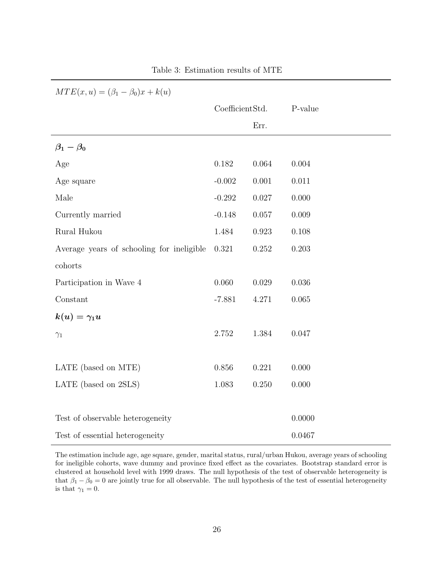<span id="page-26-0"></span>

| $MTE(x, u) = (\beta_1 - \beta_0)x + k(u)$ |                 |           |         |  |  |  |  |  |
|-------------------------------------------|-----------------|-----------|---------|--|--|--|--|--|
|                                           | CoefficientStd. |           | P-value |  |  |  |  |  |
|                                           |                 | Err.      |         |  |  |  |  |  |
| $\beta_1-\beta_0$                         |                 |           |         |  |  |  |  |  |
| Age                                       | 0.182           | 0.064     | 0.004   |  |  |  |  |  |
| Age square                                | $-0.002$        | $0.001\,$ | 0.011   |  |  |  |  |  |
| Male                                      | $-0.292$        | 0.027     | 0.000   |  |  |  |  |  |
| Currently married                         | $-0.148$        | 0.057     | 0.009   |  |  |  |  |  |
| Rural Hukou                               | 1.484           | 0.923     | 0.108   |  |  |  |  |  |
| Average years of schooling for ineligible | 0.321           | $0.252\,$ | 0.203   |  |  |  |  |  |
| cohorts                                   |                 |           |         |  |  |  |  |  |
| Participation in Wave 4                   | 0.060           | 0.029     | 0.036   |  |  |  |  |  |
| Constant                                  | $-7.881$        | 4.271     | 0.065   |  |  |  |  |  |
| $k(u) = \gamma_1 u$                       |                 |           |         |  |  |  |  |  |
| $\gamma_1$                                | 2.752           | 1.384     | 0.047   |  |  |  |  |  |
|                                           |                 |           |         |  |  |  |  |  |
| LATE (based on MTE)                       | 0.856           | 0.221     | 0.000   |  |  |  |  |  |
| LATE (based on 2SLS)                      | 1.083           | 0.250     | 0.000   |  |  |  |  |  |
|                                           |                 |           |         |  |  |  |  |  |
| Test of observable heterogeneity          |                 |           | 0.0000  |  |  |  |  |  |
| Test of essential heterogeneity           |                 |           | 0.0467  |  |  |  |  |  |

The estimation include age, age square, gender, marital status, rural/urban Hukou, average years of schooling for ineligible cohorts, wave dummy and province fixed effect as the covariates. Bootstrap standard error is clustered at household level with 1999 draws. The null hypothesis of the test of observable heterogeneity is that  $\beta_1 - \beta_0 = 0$  are jointly true for all observable. The null hypothesis of the test of essential heterogeneity is that  $\gamma_1 = 0$ .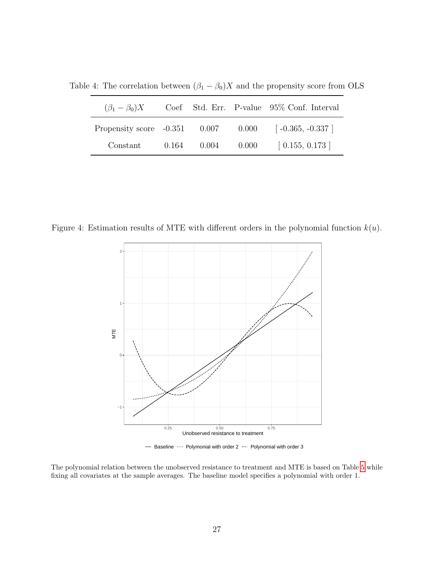<span id="page-27-0"></span>Table 4: The correlation between  $(\beta_1 - \beta_0)X$  and the propensity score from OLS

| $(\beta_1-\beta_0)X$                  |       |                 | Coef Std. Err. P-value 95% Conf. Interval |
|---------------------------------------|-------|-----------------|-------------------------------------------|
| Propensity score $-0.351$ 0.007 0.000 |       |                 | $\lceil -0.365, -0.337 \rceil$            |
| Constant                              | 0.164 | $0.004$ $0.000$ | $\left[0.155, 0.173\right]$               |

<span id="page-27-1"></span>Figure 4: Estimation results of MTE with different orders in the polynomial function  $k(u)$ .



- Baseline  $\cdots$  Polymonial with order 2 -- Polynomial with order 3

The polynomial relation between the unobserved resistance to treatment and MTE is based on Table [5](#page-30-0) while fixing all covariates at the sample averages. The baseline model specifies a polynomial with order 1.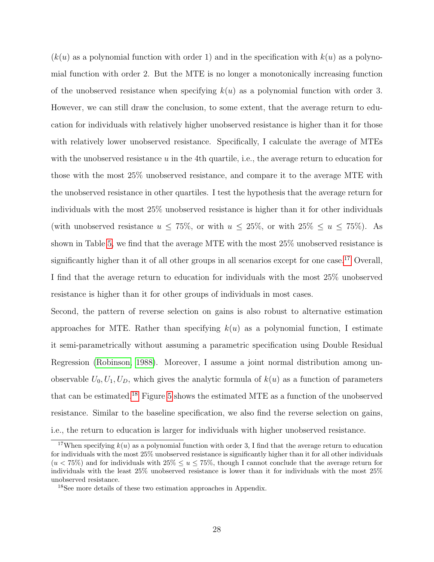$(k(u)$  as a polynomial function with order 1) and in the specification with  $k(u)$  as a polynomial function with order 2. But the MTE is no longer a monotonically increasing function of the unobserved resistance when specifying  $k(u)$  as a polynomial function with order 3. However, we can still draw the conclusion, to some extent, that the average return to education for individuals with relatively higher unobserved resistance is higher than it for those with relatively lower unobserved resistance. Specifically, I calculate the average of MTEs with the unobserved resistance  $u$  in the 4th quartile, i.e., the average return to education for those with the most 25% unobserved resistance, and compare it to the average MTE with the unobserved resistance in other quartiles. I test the hypothesis that the average return for individuals with the most 25% unobserved resistance is higher than it for other individuals (with unobserved resistance  $u \le 75\%$ , or with  $u \le 25\%$ , or with  $25\% \le u \le 75\%$ ). As shown in Table [5,](#page-30-0) we find that the average MTE with the most 25% unobserved resistance is significantly higher than it of all other groups in all scenarios except for one case.<sup>[17](#page-28-0)</sup> Overall, I find that the average return to education for individuals with the most 25% unobserved resistance is higher than it for other groups of individuals in most cases.

Second, the pattern of reverse selection on gains is also robust to alternative estimation approaches for MTE. Rather than specifying  $k(u)$  as a polynomial function, I estimate it semi-parametrically without assuming a parametric specification using Double Residual Regression [\(Robinson, 1988\)](#page-45-10). Moreover, I assume a joint normal distribution among unobservable  $U_0, U_1, U_D$ , which gives the analytic formula of  $k(u)$  as a function of parameters that can be estimated.[18](#page-28-1) Figure [5](#page-29-0) shows the estimated MTE as a function of the unobserved resistance. Similar to the baseline specification, we also find the reverse selection on gains, i.e., the return to education is larger for individuals with higher unobserved resistance.

<span id="page-28-0"></span><sup>&</sup>lt;sup>17</sup>When specifying  $k(u)$  as a polynomial function with order 3, I find that the average return to education for individuals with the most 25% unobserved resistance is significantly higher than it for all other individuals  $(u < 75\%)$  and for individuals with  $25\% \le u \le 75\%$ , though I cannot conclude that the average return for individuals with the least 25% unobserved resistance is lower than it for individuals with the most 25% unobserved resistance.

<span id="page-28-1"></span><sup>18</sup>See more details of these two estimation approaches in Appendix.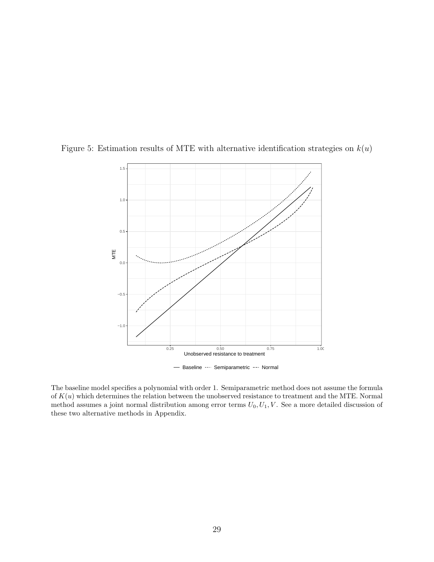

<span id="page-29-0"></span>Figure 5: Estimation results of MTE with alternative identification strategies on  $k(u)$ 

The baseline model specifies a polynomial with order 1. Semiparametric method does not assume the formula of  $K(u)$  which determines the relation between the unobserved resistance to treatment and the MTE. Normal method assumes a joint normal distribution among error terms  $U_0, U_1, V$ . See a more detailed discussion of these two alternative methods in Appendix.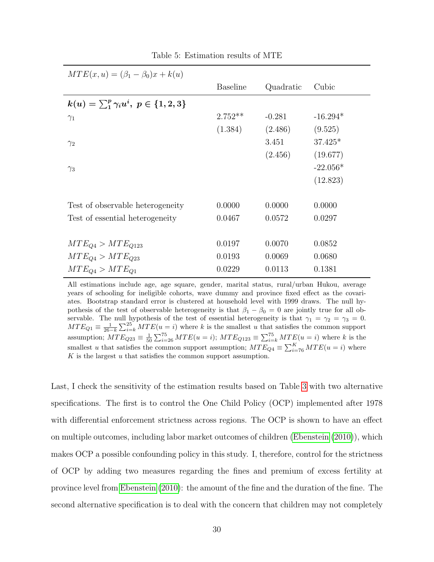<span id="page-30-0"></span>

| $MTE(x, u) = (\beta_1 - \beta_0)x + k(u)$                 |                 |           |            |  |  |  |  |  |
|-----------------------------------------------------------|-----------------|-----------|------------|--|--|--|--|--|
|                                                           | <b>Baseline</b> | Quadratic | Cubic      |  |  |  |  |  |
| $k(u) = \sum_{i=1}^{p} \gamma_i u^i, \ p \in \{1, 2, 3\}$ |                 |           |            |  |  |  |  |  |
| $\gamma_1$                                                | $2.752**$       | $-0.281$  | $-16.294*$ |  |  |  |  |  |
|                                                           | (1.384)         | (2.486)   | (9.525)    |  |  |  |  |  |
| $\gamma_2$                                                |                 | 3.451     | $37.425*$  |  |  |  |  |  |
|                                                           |                 | (2.456)   | (19.677)   |  |  |  |  |  |
| $\gamma_3$                                                |                 |           | $-22.056*$ |  |  |  |  |  |
|                                                           |                 |           | (12.823)   |  |  |  |  |  |
|                                                           |                 |           |            |  |  |  |  |  |
| Test of observable heterogeneity                          | 0.0000          | 0.0000    | 0.0000     |  |  |  |  |  |
| Test of essential heterogeneity                           | 0.0467          | 0.0572    | 0.0297     |  |  |  |  |  |
|                                                           |                 |           |            |  |  |  |  |  |
| $MTE_{O4} > MTE_{O123}$                                   | 0.0197          | 0.0070    | 0.0852     |  |  |  |  |  |
| $MTE_{O4} > MTE_{O23}$                                    | 0.0193          | 0.0069    | 0.0680     |  |  |  |  |  |
| $MTE_{O4} > MTE_{O1}$                                     | 0.0229          | 0.0113    | 0.1381     |  |  |  |  |  |

Table 5: Estimation results of MTE

All estimations include age, age square, gender, marital status, rural/urban Hukou, average years of schooling for ineligible cohorts, wave dummy and province fixed effect as the covariates. Bootstrap standard error is clustered at household level with 1999 draws. The null hypothesis of the test of observable heterogeneity is that  $\beta_1 - \beta_0 = 0$  are jointly true for all observable. The null hypothesis of the test of essential heterogeneity is that  $\gamma_1 = \gamma_2 = \gamma_3 = 0$ .  $MTE_{Q1} \equiv \frac{1}{26-k} \sum_{i=k}^{25} MTE(u=i)$  where k is the smallest u that satisfies the common support assumption;  $MTE_{Q23} \equiv \frac{1}{50} \sum_{i=26}^{75} MTE(u=i)$ ;  $MTE_{Q123} \equiv \sum_{i=k}^{75} MTE(u=i)$  where k is the smallest u that satisfies the common support assumption;  $MTE_{Q4} \equiv \sum_{i=76}^{K} MTE(u=i)$  where  $K$  is the largest  $u$  that satisfies the common support assumption.

Last, I check the sensitivity of the estimation results based on Table [3](#page-26-0) with two alternative specifications. The first is to control the One Child Policy (OCP) implemented after 1978 with differential enforcement strictness across regions. The OCP is shown to have an effect on multiple outcomes, including labor market outcomes of children [\(Ebenstein](#page-43-8) [\(2010\)](#page-43-8)), which makes OCP a possible confounding policy in this study. I, therefore, control for the strictness of OCP by adding two measures regarding the fines and premium of excess fertility at province level from [Ebenstein](#page-43-8) [\(2010\)](#page-43-8): the amount of the fine and the duration of the fine. The second alternative specification is to deal with the concern that children may not completely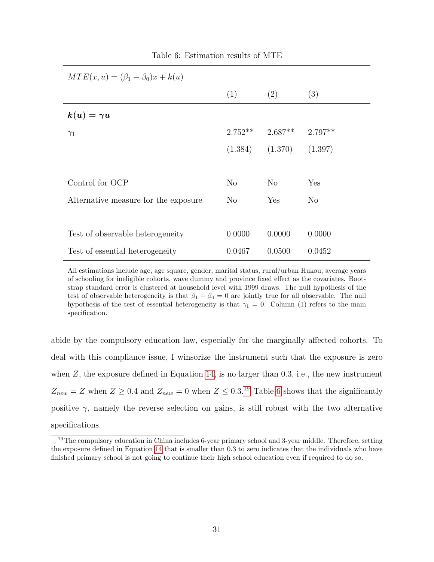<span id="page-31-1"></span>

| $MTE(x, u) = (\beta_1 - \beta_0)x + k(u)$ |          |                               |                |  |  |  |  |  |
|-------------------------------------------|----------|-------------------------------|----------------|--|--|--|--|--|
|                                           | (1)      | (2)                           | (3)            |  |  |  |  |  |
| $k(u)=\gamma u$                           |          |                               |                |  |  |  |  |  |
| $\gamma_1$                                |          | $2.752**$ $2.687**$ $2.797**$ |                |  |  |  |  |  |
|                                           | (1.384)  | (1.370)                       | (1.397)        |  |  |  |  |  |
|                                           |          |                               |                |  |  |  |  |  |
| Control for OCP                           | $\rm No$ | $\rm No$                      | Yes            |  |  |  |  |  |
| Alternative measure for the exposure      | $\rm No$ | Yes                           | N <sub>o</sub> |  |  |  |  |  |
|                                           |          |                               |                |  |  |  |  |  |
| Test of observable heterogeneity          | 0.0000   | 0.0000                        | 0.0000         |  |  |  |  |  |
| Test of essential heterogeneity           | 0.0467   | 0.0500                        | 0.0452         |  |  |  |  |  |

Table 6: Estimation results of MTE

All estimations include age, age square, gender, marital status, rural/urban Hukou, average years of schooling for ineligible cohorts, wave dummy and province fixed effect as the covariates. Bootstrap standard error is clustered at household level with 1999 draws. The null hypothesis of the test of observable heterogeneity is that  $\beta_1 - \beta_0 = 0$  are jointly true for all observable. The null hypothesis of the test of essential heterogeneity is that  $\gamma_1 = 0$ . Column (1) refers to the main specification.

abide by the compulsory education law, especially for the marginally affected cohorts. To deal with this compliance issue, I winsorize the instrument such that the exposure is zero when  $Z$ , the exposure defined in Equation [14,](#page-15-1) is no larger than 0.3, i.e., the new instrument  $Z_{new} = Z$  when  $Z \geq 0.4$  and  $Z_{new} = 0$  when  $Z \leq 0.3$ .<sup>[19](#page-31-0)</sup> Table [6](#page-31-1) shows that the significantly positive  $\gamma$ , namely the reverse selection on gains, is still robust with the two alternative specifications.

<span id="page-31-0"></span><sup>19</sup>The compulsory education in China includes 6-year primary school and 3-year middle. Therefore, setting the exposure defined in Equation [14](#page-15-1) that is smaller than 0.3 to zero indicates that the individuals who have finished primary school is not going to continue their high school education even if required to do so.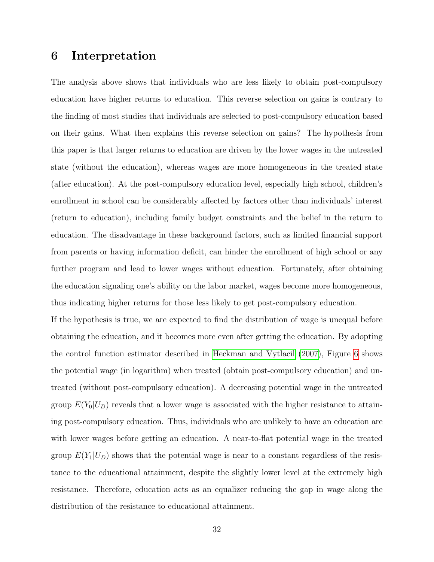## 6 Interpretation

The analysis above shows that individuals who are less likely to obtain post-compulsory education have higher returns to education. This reverse selection on gains is contrary to the finding of most studies that individuals are selected to post-compulsory education based on their gains. What then explains this reverse selection on gains? The hypothesis from this paper is that larger returns to education are driven by the lower wages in the untreated state (without the education), whereas wages are more homogeneous in the treated state (after education). At the post-compulsory education level, especially high school, children's enrollment in school can be considerably affected by factors other than individuals' interest (return to education), including family budget constraints and the belief in the return to education. The disadvantage in these background factors, such as limited financial support from parents or having information deficit, can hinder the enrollment of high school or any further program and lead to lower wages without education. Fortunately, after obtaining the education signaling one's ability on the labor market, wages become more homogeneous, thus indicating higher returns for those less likely to get post-compulsory education.

If the hypothesis is true, we are expected to find the distribution of wage is unequal before obtaining the education, and it becomes more even after getting the education. By adopting the control function estimator described in [Heckman and Vytlacil](#page-44-8) [\(2007\)](#page-44-8), Figure [6](#page-33-0) shows the potential wage (in logarithm) when treated (obtain post-compulsory education) and untreated (without post-compulsory education). A decreasing potential wage in the untreated group  $E(Y_0|U_D)$  reveals that a lower wage is associated with the higher resistance to attaining post-compulsory education. Thus, individuals who are unlikely to have an education are with lower wages before getting an education. A near-to-flat potential wage in the treated group  $E(Y_1|U_D)$  shows that the potential wage is near to a constant regardless of the resistance to the educational attainment, despite the slightly lower level at the extremely high resistance. Therefore, education acts as an equalizer reducing the gap in wage along the distribution of the resistance to educational attainment.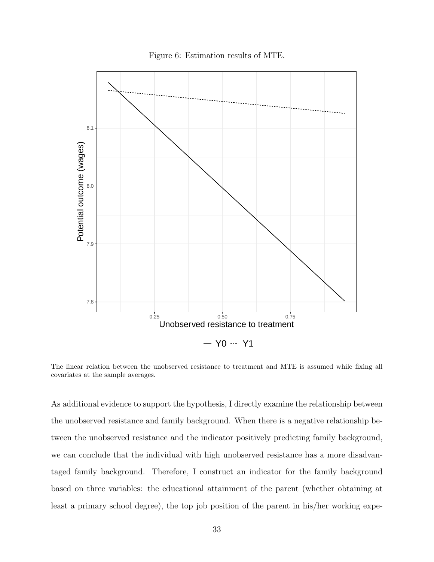Figure 6: Estimation results of MTE.

<span id="page-33-0"></span>

The linear relation between the unobserved resistance to treatment and MTE is assumed while fixing all covariates at the sample averages.

As additional evidence to support the hypothesis, I directly examine the relationship between the unobserved resistance and family background. When there is a negative relationship between the unobserved resistance and the indicator positively predicting family background, we can conclude that the individual with high unobserved resistance has a more disadvantaged family background. Therefore, I construct an indicator for the family background based on three variables: the educational attainment of the parent (whether obtaining at least a primary school degree), the top job position of the parent in his/her working expe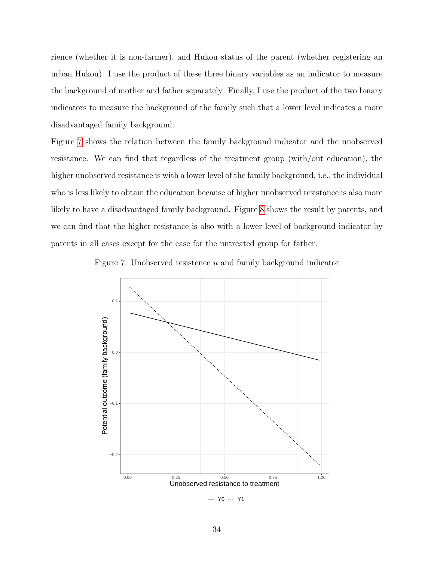rience (whether it is non-farmer), and Hukou status of the parent (whether registering an urban Hukou). I use the product of these three binary variables as an indicator to measure the background of mother and father separately. Finally, I use the product of the two binary indicators to measure the background of the family such that a lower level indicates a more disadvantaged family background.

Figure [7](#page-34-0) shows the relation between the family background indicator and the unobserved resistance. We can find that regardless of the treatment group (with/out education), the higher unobserved resistance is with a lower level of the family background, i.e., the individual who is less likely to obtain the education because of higher unobserved resistance is also more likely to have a disadvantaged family background. Figure [8](#page-35-0) shows the result by parents, and we can find that the higher resistance is also with a lower level of background indicator by parents in all cases except for the case for the untreated group for father.

<span id="page-34-0"></span>

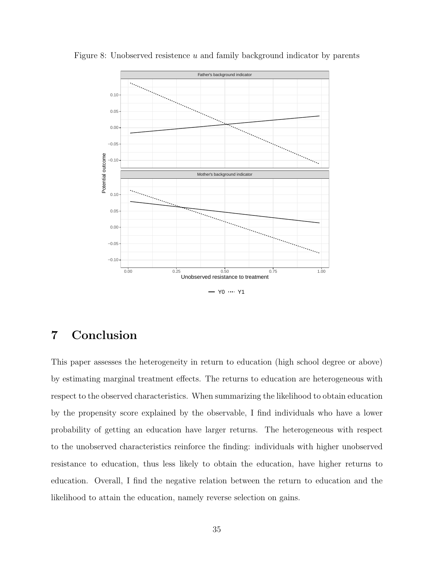

<span id="page-35-0"></span>Figure 8: Unobserved resistence  $u$  and family background indicator by parents

## 7 Conclusion

This paper assesses the heterogeneity in return to education (high school degree or above) by estimating marginal treatment effects. The returns to education are heterogeneous with respect to the observed characteristics. When summarizing the likelihood to obtain education by the propensity score explained by the observable, I find individuals who have a lower probability of getting an education have larger returns. The heterogeneous with respect to the unobserved characteristics reinforce the finding: individuals with higher unobserved resistance to education, thus less likely to obtain the education, have higher returns to education. Overall, I find the negative relation between the return to education and the likelihood to attain the education, namely reverse selection on gains.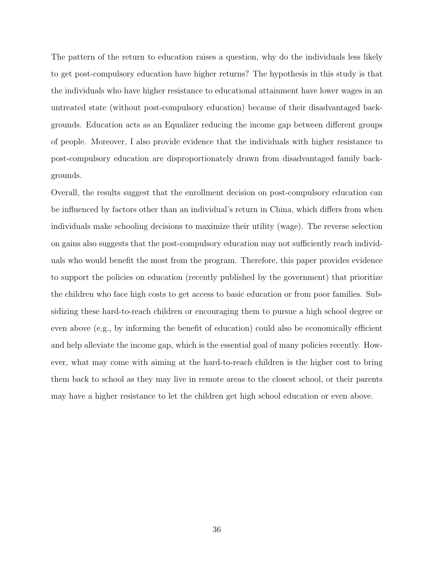The pattern of the return to education raises a question, why do the individuals less likely to get post-compulsory education have higher returns? The hypothesis in this study is that the individuals who have higher resistance to educational attainment have lower wages in an untreated state (without post-compulsory education) because of their disadvantaged backgrounds. Education acts as an Equalizer reducing the income gap between different groups of people. Moreover, I also provide evidence that the individuals with higher resistance to post-compulsory education are disproportionately drawn from disadvantaged family backgrounds.

Overall, the results suggest that the enrollment decision on post-compulsory education can be influenced by factors other than an individual's return in China, which differs from when individuals make schooling decisions to maximize their utility (wage). The reverse selection on gains also suggests that the post-compulsory education may not sufficiently reach individuals who would benefit the most from the program. Therefore, this paper provides evidence to support the policies on education (recently published by the government) that prioritize the children who face high costs to get access to basic education or from poor families. Subsidizing these hard-to-reach children or encouraging them to pursue a high school degree or even above (e.g., by informing the benefit of education) could also be economically efficient and help alleviate the income gap, which is the essential goal of many policies recently. However, what may come with aiming at the hard-to-reach children is the higher cost to bring them back to school as they may live in remote areas to the closest school, or their parents may have a higher resistance to let the children get high school education or even above.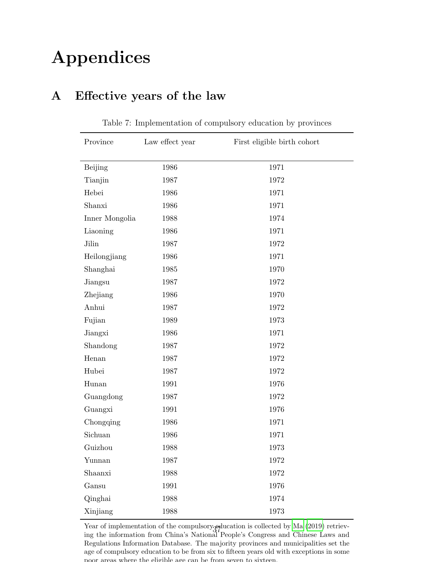# Appendices

## <span id="page-37-0"></span>A Effective years of the law

| Province       | Law effect year | First eligible birth cohort |
|----------------|-----------------|-----------------------------|
|                |                 |                             |
| <b>Beijing</b> | 1986            | 1971                        |
| Tianjin        | 1987            | 1972                        |
| Hebei          | 1986            | 1971                        |
| Shanxi         | 1986            | 1971                        |
| Inner Mongolia | 1988            | 1974                        |
| Liaoning       | 1986            | 1971                        |
| Jilin          | 1987            | 1972                        |
| Heilongjiang   | 1986            | 1971                        |
| Shanghai       | 1985            | 1970                        |
| Jiangsu        | 1987            | 1972                        |
| Zhejiang       | 1986            | 1970                        |
| Anhui          | 1987            | 1972                        |
| Fujian         | 1989            | 1973                        |
| Jiangxi        | 1986            | 1971                        |
| Shandong       | 1987            | 1972                        |
| Henan          | 1987            | 1972                        |
| Hubei          | 1987            | 1972                        |
| Hunan          | 1991            | 1976                        |
| Guangdong      | 1987            | 1972                        |
| Guangxi        | 1991            | 1976                        |
| Chongqing      | 1986            | 1971                        |
| Sichuan        | 1986            | 1971                        |
| Guizhou        | 1988            | 1973                        |
| Yunnan         | 1987            | 1972                        |
| Shaanxi        | 1988            | $1972\,$                    |
| Gansu          | 1991            | 1976                        |
| Qinghai        | 1988            | 1974                        |
| Xinjiang       | 1988            | 1973                        |

Table 7: Implementation of compulsory education by provinces

Year of implementation of the compulsory education is collected by [Ma \(2019\)](#page-44-7) retrievrear of implementation of the compulsory squication is collected by Ma (2019) retrieving the information from China's National People's Congress and Chinese Laws and Regulations Information Database. The majority provinces and municipalities set the age of compulsory education to be from six to fifteen years old with exceptions in some poor areas where the eligible age can be from seven to sixteen.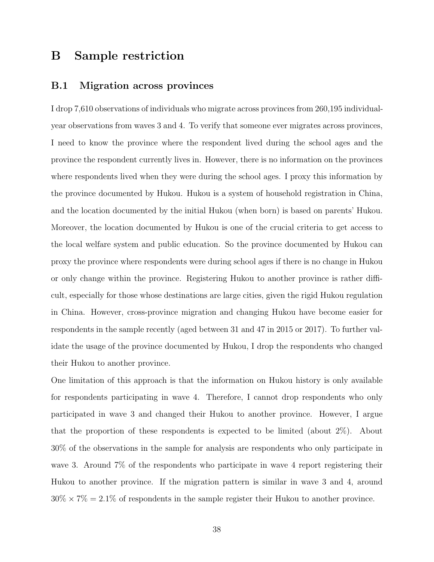## B Sample restriction

#### B.1 Migration across provinces

I drop 7,610 observations of individuals who migrate across provinces from 260,195 individualyear observations from waves 3 and 4. To verify that someone ever migrates across provinces, I need to know the province where the respondent lived during the school ages and the province the respondent currently lives in. However, there is no information on the provinces where respondents lived when they were during the school ages. I proxy this information by the province documented by Hukou. Hukou is a system of household registration in China, and the location documented by the initial Hukou (when born) is based on parents' Hukou. Moreover, the location documented by Hukou is one of the crucial criteria to get access to the local welfare system and public education. So the province documented by Hukou can proxy the province where respondents were during school ages if there is no change in Hukou or only change within the province. Registering Hukou to another province is rather difficult, especially for those whose destinations are large cities, given the rigid Hukou regulation in China. However, cross-province migration and changing Hukou have become easier for respondents in the sample recently (aged between 31 and 47 in 2015 or 2017). To further validate the usage of the province documented by Hukou, I drop the respondents who changed their Hukou to another province.

One limitation of this approach is that the information on Hukou history is only available for respondents participating in wave 4. Therefore, I cannot drop respondents who only participated in wave 3 and changed their Hukou to another province. However, I argue that the proportion of these respondents is expected to be limited (about 2%). About 30% of the observations in the sample for analysis are respondents who only participate in wave 3. Around 7% of the respondents who participate in wave 4 report registering their Hukou to another province. If the migration pattern is similar in wave 3 and 4, around  $30\% \times 7\% = 2.1\%$  of respondents in the sample register their Hukou to another province.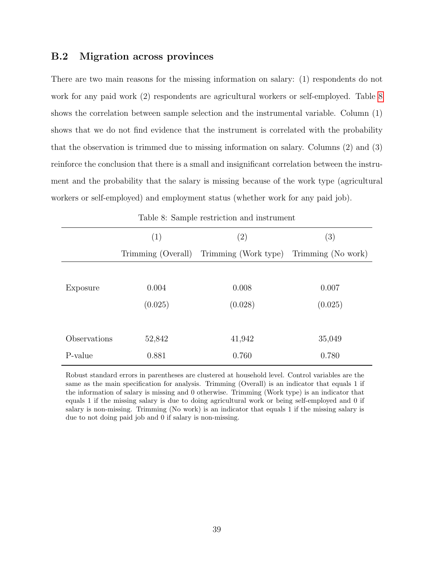#### B.2 Migration across provinces

There are two main reasons for the missing information on salary: (1) respondents do not work for any paid work (2) respondents are agricultural workers or self-employed. Table [8](#page-39-0) shows the correlation between sample selection and the instrumental variable. Column (1) shows that we do not find evidence that the instrument is correlated with the probability that the observation is trimmed due to missing information on salary. Columns (2) and (3) reinforce the conclusion that there is a small and insignificant correlation between the instrument and the probability that the salary is missing because of the work type (agricultural workers or self-employed) and employment status (whether work for any paid job).

<span id="page-39-0"></span>

|              | (1)     | $\left( 2\right)$                                          | (3)     |  |  |
|--------------|---------|------------------------------------------------------------|---------|--|--|
|              |         | Trimming (Overall) Trimming (Work type) Trimming (No work) |         |  |  |
|              |         |                                                            |         |  |  |
| Exposure     | 0.004   | 0.008                                                      | 0.007   |  |  |
|              | (0.025) | (0.028)                                                    | (0.025) |  |  |
|              |         |                                                            |         |  |  |
| Observations | 52,842  | 41,942                                                     | 35,049  |  |  |
| P-value      | 0.881   | 0.760                                                      | 0.780   |  |  |

Table 8: Sample restriction and instrument

Robust standard errors in parentheses are clustered at household level. Control variables are the same as the main specification for analysis. Trimming (Overall) is an indicator that equals 1 if the information of salary is missing and 0 otherwise. Trimming (Work type) is an indicator that equals 1 if the missing salary is due to doing agricultural work or being self-employed and 0 if salary is non-missing. Trimming (No work) is an indicator that equals 1 if the missing salary is due to not doing paid job and 0 if salary is non-missing.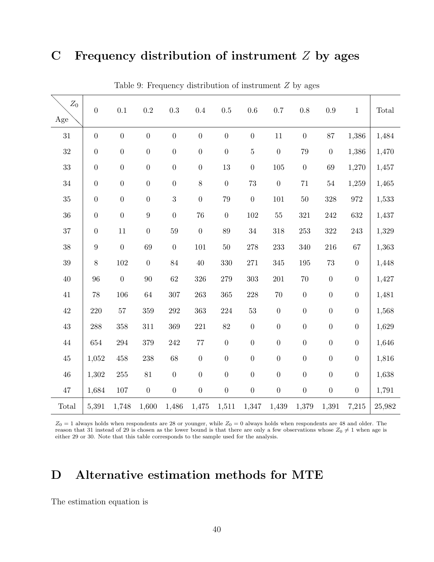## C Frequency distribution of instrument  $Z$  by ages

<span id="page-40-0"></span>

| $Z_0$<br>Age | $\boldsymbol{0}$ | 0.1              | $\rm 0.2$        | 0.3              | 0.4              | 0.5              | 0.6              | 0.7              | 0.8              | 0.9              | $\mathbf{1}$     | Total  |
|--------------|------------------|------------------|------------------|------------------|------------------|------------------|------------------|------------------|------------------|------------------|------------------|--------|
| $31\,$       | $\boldsymbol{0}$ | $\boldsymbol{0}$ | $\boldsymbol{0}$ | $\boldsymbol{0}$ | $\boldsymbol{0}$ | $\boldsymbol{0}$ | $\boldsymbol{0}$ | 11               | $\boldsymbol{0}$ | 87               | 1,386            | 1,484  |
| $32\,$       | $\boldsymbol{0}$ | $\boldsymbol{0}$ | $\boldsymbol{0}$ | $\boldsymbol{0}$ | $\boldsymbol{0}$ | $\boldsymbol{0}$ | $\bf 5$          | $\boldsymbol{0}$ | $79\,$           | $\boldsymbol{0}$ | 1,386            | 1,470  |
| $33\,$       | $\boldsymbol{0}$ | $\boldsymbol{0}$ | $\boldsymbol{0}$ | $\boldsymbol{0}$ | $\boldsymbol{0}$ | $13\,$           | $\boldsymbol{0}$ | $105\,$          | $\boldsymbol{0}$ | 69               | 1,270            | 1,457  |
| $34\,$       | $\boldsymbol{0}$ | $\boldsymbol{0}$ | $\boldsymbol{0}$ | $\boldsymbol{0}$ | $8\,$            | $\boldsymbol{0}$ | 73               | $\boldsymbol{0}$ | $71\,$           | $54\,$           | 1,259            | 1,465  |
| 35           | $\boldsymbol{0}$ | $\boldsymbol{0}$ | $\boldsymbol{0}$ | $\sqrt{3}$       | $\boldsymbol{0}$ | 79               | $\boldsymbol{0}$ | 101              | $50\,$           | 328              | $\bf{972}$       | 1,533  |
| 36           | $\boldsymbol{0}$ | $\overline{0}$   | $\boldsymbol{9}$ | $\boldsymbol{0}$ | 76               | $\boldsymbol{0}$ | 102              | $55\,$           | 321              | 242              | 632              | 1,437  |
| 37           | $\boldsymbol{0}$ | 11               | $\boldsymbol{0}$ | 59               | $\boldsymbol{0}$ | 89               | $34\,$           | 318              | $253\,$          | $322\,$          | 243              | 1,329  |
| 38           | $\boldsymbol{9}$ | $\overline{0}$   | 69               | $\boldsymbol{0}$ | 101              | $50\,$           | 278              | 233              | 340              | 216              | 67               | 1,363  |
| $39\,$       | $8\,$            | 102              | $\boldsymbol{0}$ | 84               | $40\,$           | 330              | $271\,$          | 345              | 195              | $73\,$           | $\boldsymbol{0}$ | 1,448  |
| $40\,$       | 96               | $\boldsymbol{0}$ | $90\,$           | $62\,$           | 326              | $279\,$          | 303              | 201              | $70\,$           | $\boldsymbol{0}$ | $\boldsymbol{0}$ | 1,427  |
| 41           | 78               | 106              | 64               | 307              | 263              | 365              | 228              | $70\,$           | $\boldsymbol{0}$ | $\boldsymbol{0}$ | $\boldsymbol{0}$ | 1,481  |
| $42\,$       | $220\,$          | 57               | 359              | 292              | 363              | $224\,$          | $53\,$           | $\boldsymbol{0}$ | $\boldsymbol{0}$ | $\boldsymbol{0}$ | $\boldsymbol{0}$ | 1,568  |
| $43\,$       | 288              | 358              | 311              | 369              | 221              | 82               | $\boldsymbol{0}$ | $\boldsymbol{0}$ | $\boldsymbol{0}$ | $\boldsymbol{0}$ | $\boldsymbol{0}$ | 1,629  |
| $44\,$       | 654              | 294              | 379              | 242              | $77\,$           | $\boldsymbol{0}$ | $\boldsymbol{0}$ | $\boldsymbol{0}$ | $\boldsymbol{0}$ | $\boldsymbol{0}$ | $\boldsymbol{0}$ | 1,646  |
| $45\,$       | 1,052            | 458              | 238              | 68               | $\boldsymbol{0}$ | $\boldsymbol{0}$ | $\boldsymbol{0}$ | $\overline{0}$   | $\boldsymbol{0}$ | $\boldsymbol{0}$ | $\boldsymbol{0}$ | 1,816  |
| $46\,$       | 1,302            | $255\,$          | 81               | $\boldsymbol{0}$ | $\boldsymbol{0}$ | $\boldsymbol{0}$ | $\boldsymbol{0}$ | $\boldsymbol{0}$ | $\boldsymbol{0}$ | $\boldsymbol{0}$ | $\boldsymbol{0}$ | 1,638  |
| $47\,$       | 1,684            | 107              | $\boldsymbol{0}$ | $\boldsymbol{0}$ | $\boldsymbol{0}$ | $\boldsymbol{0}$ | $\boldsymbol{0}$ | $\boldsymbol{0}$ | $\boldsymbol{0}$ | $\boldsymbol{0}$ | $\boldsymbol{0}$ | 1,791  |
| Total        | 5,391            | 1,748            | 1,600            | 1,486            | 1,475            | 1,511            | 1,347            | 1,439            | 1,379            | 1,391            | 7,215            | 25,982 |

Table 9: Frequency distribution of instrument  $Z$  by ages

 $Z_0 = 1$  always holds when respondents are 28 or younger, while  $Z_0 = 0$  always holds when respondents are 48 and older. The reason that 31 instead of 29 is chosen as the lower bound is that there are only a few observations whose  $Z_0 \neq 1$  when age is either 29 or 30. Note that this table corresponds to the sample used for the analysis.

## D Alternative estimation methods for MTE

The estimation equation is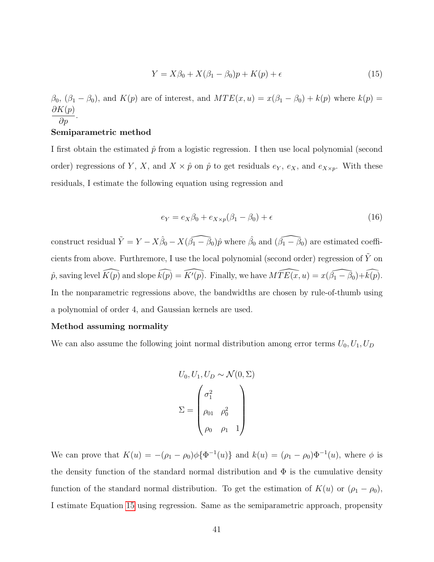<span id="page-41-0"></span>
$$
Y = X\beta_0 + X(\beta_1 - \beta_0)p + K(p) + \epsilon
$$
\n(15)

 $\beta_0$ ,  $(\beta_1 - \beta_0)$ , and  $K(p)$  are of interest, and  $MTE(x, u) = x(\beta_1 - \beta_0) + k(p)$  where  $k(p) =$  $\partial K(p)$  $rac{\Delta P}{\partial p}$ .

#### Semiparametric method

I first obtain the estimated  $\hat{p}$  from a logistic regression. I then use local polynomial (second order) regressions of Y, X, and  $X \times \hat{p}$  on  $\hat{p}$  to get residuals  $e_Y$ ,  $e_X$ , and  $e_{X \times p}$ . With these residuals, I estimate the following equation using regression and

$$
e_Y = e_X \beta_0 + e_{X \times p} (\beta_1 - \beta_0) + \epsilon \tag{16}
$$

construct residual  $\tilde{Y} = Y - X\hat{\beta}_0 - X(\widehat{\beta_1 - \beta_0})\hat{p}$  where  $\hat{\beta_0}$  and  $(\widehat{\beta_1 - \beta_0})$  are estimated coefficients from above. Furthremore, I use the local polynomial (second order) regression of  $\tilde{Y}$  on  $\hat{p}$ , saving level  $\widehat{K(p)}$  and slope  $\widehat{k(p)} = \widehat{K'(p)}$ . Finally, we have  $\widehat{MTE(x, u)} = x(\widehat{\beta_1 - \beta_0}) + \widehat{k(p)}$ . In the nonparametric regressions above, the bandwidths are chosen by rule-of-thumb using a polynomial of order 4, and Gaussian kernels are used.

#### Method assuming normality

We can also assume the following joint normal distribution among error terms  $U_0, U_1, U_D$ 

$$
U_0, U_1, U_D \sim \mathcal{N}(0, \Sigma)
$$

$$
\Sigma = \begin{pmatrix} \sigma_1^2 & & \\ \rho_{01} & \rho_0^2 & \\ \rho_0 & \rho_1 & 1 \end{pmatrix}
$$

We can prove that  $K(u) = -(\rho_1 - \rho_0)\phi\{\Phi^{-1}(u)\}\$  and  $k(u) = (\rho_1 - \rho_0)\Phi^{-1}(u)$ , where  $\phi$  is the density function of the standard normal distribution and  $\Phi$  is the cumulative density function of the standard normal distribution. To get the estimation of  $K(u)$  or  $(\rho_1 - \rho_0)$ , I estimate Equation [15](#page-41-0) using regression. Same as the semiparametric approach, propensity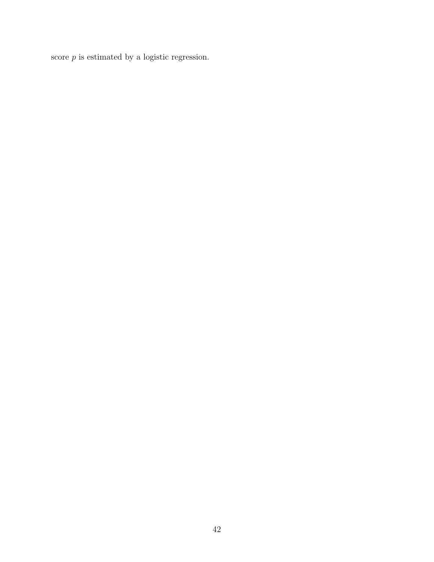score  $p$  is estimated by a logistic regression.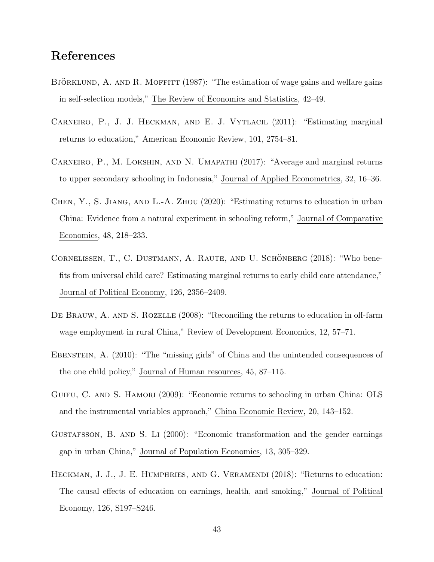## References

- <span id="page-43-2"></span>BJÖRKLUND, A. AND R. MOFFITT  $(1987)$ : "The estimation of wage gains and welfare gains in self-selection models," The Review of Economics and Statistics, 42–49.
- <span id="page-43-0"></span>CARNEIRO, P., J. J. HECKMAN, AND E. J. VYTLACIL (2011): "Estimating marginal returns to education," American Economic Review, 101, 2754–81.
- <span id="page-43-3"></span>Carneiro, P., M. Lokshin, and N. Umapathi (2017): "Average and marginal returns to upper secondary schooling in Indonesia," Journal of Applied Econometrics, 32, 16–36.
- <span id="page-43-9"></span>Chen, Y., S. Jiang, and L.-A. Zhou (2020): "Estimating returns to education in urban China: Evidence from a natural experiment in schooling reform," Journal of Comparative Economics, 48, 218–233.
- <span id="page-43-4"></span>CORNELISSEN, T., C. DUSTMANN, A. RAUTE, AND U. SCHÖNBERG (2018): "Who benefits from universal child care? Estimating marginal returns to early child care attendance," Journal of Political Economy, 126, 2356–2409.
- <span id="page-43-6"></span>DE BRAUW, A. AND S. ROZELLE (2008): "Reconciling the returns to education in off-farm wage employment in rural China," Review of Development Economics, 12, 57–71.
- <span id="page-43-8"></span>EBENSTEIN, A. (2010): "The "missing girls" of China and the unintended consequences of the one child policy," Journal of Human resources, 45, 87–115.
- <span id="page-43-5"></span>GUIFU, C. AND S. HAMORI (2009): "Economic returns to schooling in urban China: OLS and the instrumental variables approach," China Economic Review, 20, 143–152.
- <span id="page-43-7"></span>Gustafsson, B. and S. Li (2000): "Economic transformation and the gender earnings gap in urban China," Journal of Population Economics, 13, 305–329.
- <span id="page-43-1"></span>HECKMAN, J. J., J. E. HUMPHRIES, AND G. VERAMENDI (2018): "Returns to education: The causal effects of education on earnings, health, and smoking," Journal of Political Economy, 126, S197–S246.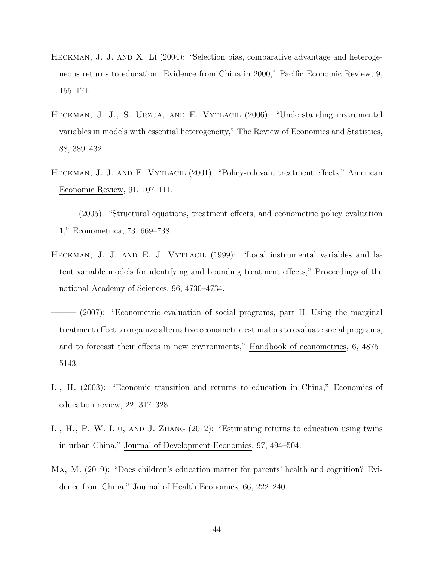- <span id="page-44-5"></span>HECKMAN, J. J. AND X. LI (2004): "Selection bias, comparative advantage and heterogeneous returns to education: Evidence from China in 2000," Pacific Economic Review, 9, 155–171.
- <span id="page-44-0"></span>Heckman, J. J., S. Urzua, and E. Vytlacil (2006): "Understanding instrumental variables in models with essential heterogeneity," The Review of Economics and Statistics, 88, 389–432.
- <span id="page-44-2"></span>Heckman, J. J. and E. Vytlacil (2001): "Policy-relevant treatment effects," American Economic Review, 91, 107–111.

<span id="page-44-1"></span> $(2005)$ : "Structural equations, treatment effects, and econometric policy evaluation 1," Econometrica, 73, 669–738.

<span id="page-44-3"></span>HECKMAN, J. J. AND E. J. VYTLACIL (1999): "Local instrumental variables and latent variable models for identifying and bounding treatment effects," Proceedings of the national Academy of Sciences, 96, 4730–4734.

<span id="page-44-8"></span> $(2007)$ : "Econometric evaluation of social programs, part II: Using the marginal treatment effect to organize alternative econometric estimators to evaluate social programs, and to forecast their effects in new environments," Handbook of econometrics, 6, 4875– 5143.

- <span id="page-44-6"></span>Li, H. (2003): "Economic transition and returns to education in China," Economics of education review, 22, 317–328.
- <span id="page-44-4"></span>LI, H., P. W. LIU, AND J. ZHANG (2012): "Estimating returns to education using twins in urban China," Journal of Development Economics, 97, 494–504.
- <span id="page-44-7"></span>Ma, M. (2019): "Does children's education matter for parents' health and cognition? Evidence from China," Journal of Health Economics, 66, 222–240.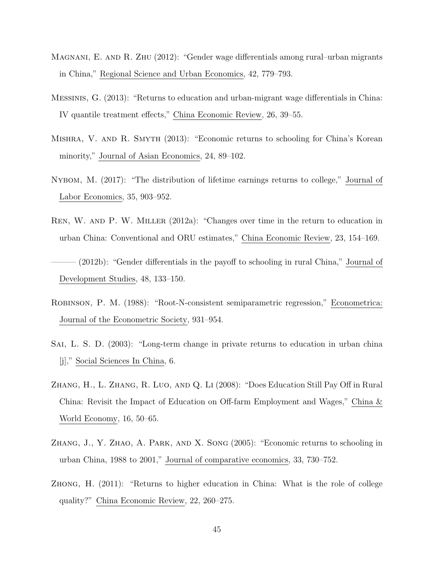- <span id="page-45-2"></span>Magnani, E. and R. Zhu (2012): "Gender wage differentials among rural–urban migrants in China," Regional Science and Urban Economics, 42, 779–793.
- <span id="page-45-5"></span>Messinis, G. (2013): "Returns to education and urban-migrant wage differentials in China: IV quantile treatment effects," China Economic Review, 26, 39–55.
- <span id="page-45-9"></span>Mishra, V. and R. Smyth (2013): "Economic returns to schooling for China's Korean minority," Journal of Asian Economics, 24, 89–102.
- <span id="page-45-0"></span>Nybom, M. (2017): "The distribution of lifetime earnings returns to college," Journal of Labor Economics, 35, 903–952.
- <span id="page-45-1"></span>Ren, W. and P. W. Miller (2012a): "Changes over time in the return to education in urban China: Conventional and ORU estimates," China Economic Review, 23, 154–169.
- <span id="page-45-6"></span>– (2012b): "Gender differentials in the payoff to schooling in rural China," Journal of Development Studies, 48, 133–150.
- <span id="page-45-10"></span>Robinson, P. M. (1988): "Root-N-consistent semiparametric regression," Econometrica: Journal of the Econometric Society, 931–954.
- <span id="page-45-4"></span>SAI, L. S. D. (2003): "Long-term change in private returns to education in urban china [j]," Social Sciences In China, 6.
- <span id="page-45-7"></span>Zhang, H., L. Zhang, R. Luo, and Q. Li (2008): "Does Education Still Pay Off in Rural China: Revisit the Impact of Education on Off-farm Employment and Wages," China & World Economy, 16, 50–65.
- <span id="page-45-3"></span>Zhang, J., Y. Zhao, A. Park, and X. Song (2005): "Economic returns to schooling in urban China, 1988 to 2001," Journal of comparative economics, 33, 730–752.
- <span id="page-45-8"></span>Zhong, H. (2011): "Returns to higher education in China: What is the role of college quality?" China Economic Review, 22, 260–275.